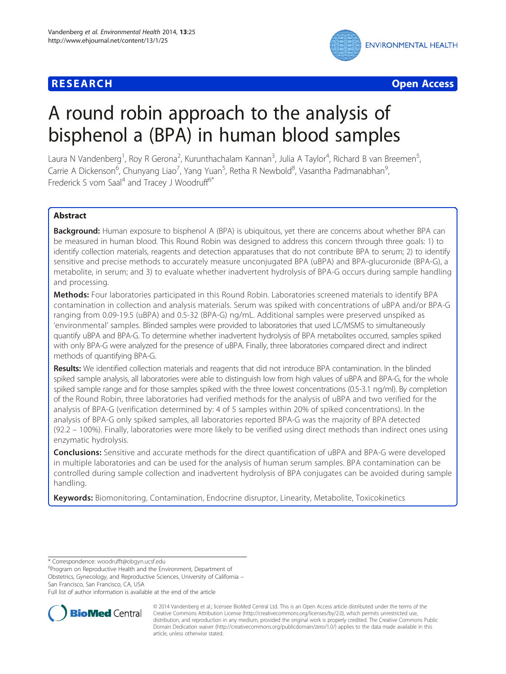



# A round robin approach to the analysis of bisphenol a (BPA) in human blood samples

Laura N Vandenberg<sup>1</sup>, Roy R Gerona<sup>2</sup>, Kurunthachalam Kannan<sup>3</sup>, Julia A Taylor<sup>4</sup>, Richard B van Breemen<sup>5</sup> , Carrie A Dickenson<sup>6</sup>, Chunyang Liao<sup>7</sup>, Yang Yuan<sup>5</sup>, Retha R Newbold<sup>8</sup>, Vasantha Padmanabhan<sup>9</sup> , Frederick S vom Saal<sup>4</sup> and Tracey J Woodruff<sup>6\*</sup>

# Abstract

Background: Human exposure to bisphenol A (BPA) is ubiquitous, yet there are concerns about whether BPA can be measured in human blood. This Round Robin was designed to address this concern through three goals: 1) to identify collection materials, reagents and detection apparatuses that do not contribute BPA to serum; 2) to identify sensitive and precise methods to accurately measure unconjugated BPA (uBPA) and BPA-glucuronide (BPA-G), a metabolite, in serum; and 3) to evaluate whether inadvertent hydrolysis of BPA-G occurs during sample handling and processing.

Methods: Four laboratories participated in this Round Robin. Laboratories screened materials to identify BPA contamination in collection and analysis materials. Serum was spiked with concentrations of uBPA and/or BPA-G ranging from 0.09-19.5 (uBPA) and 0.5-32 (BPA-G) ng/mL. Additional samples were preserved unspiked as 'environmental' samples. Blinded samples were provided to laboratories that used LC/MSMS to simultaneously quantify uBPA and BPA-G. To determine whether inadvertent hydrolysis of BPA metabolites occurred, samples spiked with only BPA-G were analyzed for the presence of uBPA. Finally, three laboratories compared direct and indirect methods of quantifying BPA-G.

Results: We identified collection materials and reagents that did not introduce BPA contamination. In the blinded spiked sample analysis, all laboratories were able to distinguish low from high values of uBPA and BPA-G, for the whole spiked sample range and for those samples spiked with the three lowest concentrations (0.5-3.1 ng/ml). By completion of the Round Robin, three laboratories had verified methods for the analysis of uBPA and two verified for the analysis of BPA-G (verification determined by: 4 of 5 samples within 20% of spiked concentrations). In the analysis of BPA-G only spiked samples, all laboratories reported BPA-G was the majority of BPA detected (92.2 – 100%). Finally, laboratories were more likely to be verified using direct methods than indirect ones using enzymatic hydrolysis.

Conclusions: Sensitive and accurate methods for the direct quantification of uBPA and BPA-G were developed in multiple laboratories and can be used for the analysis of human serum samples. BPA contamination can be controlled during sample collection and inadvertent hydrolysis of BPA conjugates can be avoided during sample handling.

Keywords: Biomonitoring, Contamination, Endocrine disruptor, Linearity, Metabolite, Toxicokinetics

\* Correspondence: [woodrufft@obgyn.ucsf.edu](mailto:woodrufft@obgyn.ucsf.edu) <sup>6</sup>

Program on Reproductive Health and the Environment, Department of Obstetrics, Gynecology, and Reproductive Sciences, University of California – San Francisco, San Francisco, CA, USA

Full list of author information is available at the end of the article



© 2014 Vandenberg et al.; licensee BioMed Central Ltd. This is an Open Access article distributed under the terms of the Creative Commons Attribution License (<http://creativecommons.org/licenses/by/2.0>), which permits unrestricted use, distribution, and reproduction in any medium, provided the original work is properly credited. The Creative Commons Public Domain Dedication waiver [\(http://creativecommons.org/publicdomain/zero/1.0/\)](http://creativecommons.org/publicdomain/zero/1.0/) applies to the data made available in this article, unless otherwise stated.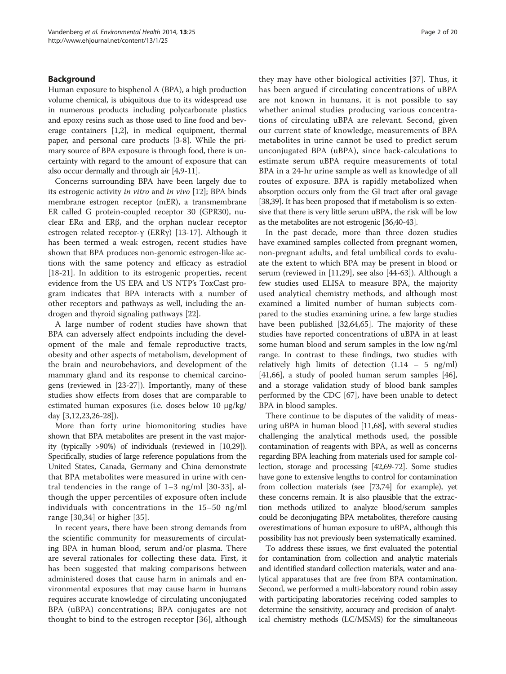#### Background

Human exposure to bisphenol A (BPA), a high production volume chemical, is ubiquitous due to its widespread use in numerous products including polycarbonate plastics and epoxy resins such as those used to line food and beverage containers [\[1,2](#page-17-0)], in medical equipment, thermal paper, and personal care products [[3-8](#page-17-0)]. While the primary source of BPA exposure is through food, there is uncertainty with regard to the amount of exposure that can also occur dermally and through air [\[4,9](#page-17-0)-[11](#page-17-0)].

Concerns surrounding BPA have been largely due to its estrogenic activity in vitro and in vivo [[12\]](#page-17-0); BPA binds membrane estrogen receptor (mER), a transmembrane ER called G protein-coupled receptor 30 (GPR30), nuclear ERα and ERβ, and the orphan nuclear receptor estrogen related receptor-γ (ERRγ) [[13-17\]](#page-17-0). Although it has been termed a weak estrogen, recent studies have shown that BPA produces non-genomic estrogen-like actions with the same potency and efficacy as estradiol [[18-21](#page-17-0)]. In addition to its estrogenic properties, recent evidence from the US EPA and US NTP's ToxCast program indicates that BPA interacts with a number of other receptors and pathways as well, including the androgen and thyroid signaling pathways [\[22](#page-17-0)].

A large number of rodent studies have shown that BPA can adversely affect endpoints including the development of the male and female reproductive tracts, obesity and other aspects of metabolism, development of the brain and neurobehaviors, and development of the mammary gland and its response to chemical carcinogens (reviewed in [[23-27](#page-17-0)]). Importantly, many of these studies show effects from doses that are comparable to estimated human exposures (i.e. doses below 10 μg/kg/ day [[3,12,23,26-28](#page-17-0)]).

More than forty urine biomonitoring studies have shown that BPA metabolites are present in the vast majority (typically >90%) of individuals (reviewed in [[10,29](#page-17-0)]). Specifically, studies of large reference populations from the United States, Canada, Germany and China demonstrate that BPA metabolites were measured in urine with central tendencies in the range of 1–3 ng/ml [[30](#page-17-0)-[33](#page-17-0)], although the upper percentiles of exposure often include individuals with concentrations in the 15–50 ng/ml range [\[30](#page-17-0),[34](#page-17-0)] or higher [[35](#page-17-0)].

In recent years, there have been strong demands from the scientific community for measurements of circulating BPA in human blood, serum and/or plasma. There are several rationales for collecting these data. First, it has been suggested that making comparisons between administered doses that cause harm in animals and environmental exposures that may cause harm in humans requires accurate knowledge of circulating unconjugated BPA (uBPA) concentrations; BPA conjugates are not thought to bind to the estrogen receptor [[36\]](#page-17-0), although

they may have other biological activities [\[37\]](#page-17-0). Thus, it has been argued if circulating concentrations of uBPA are not known in humans, it is not possible to say whether animal studies producing various concentrations of circulating uBPA are relevant. Second, given our current state of knowledge, measurements of BPA metabolites in urine cannot be used to predict serum unconjugated BPA (uBPA), since back-calculations to estimate serum uBPA require measurements of total BPA in a 24-hr urine sample as well as knowledge of all routes of exposure. BPA is rapidly metabolized when absorption occurs only from the GI tract after oral gavage [[38](#page-17-0)[,39\]](#page-18-0). It has been proposed that if metabolism is so extensive that there is very little serum uBPA, the risk will be low as the metabolites are not estrogenic [\[36,](#page-17-0)[40](#page-18-0)-[43\]](#page-18-0).

In the past decade, more than three dozen studies have examined samples collected from pregnant women, non-pregnant adults, and fetal umbilical cords to evaluate the extent to which BPA may be present in blood or serum (reviewed in [[11,29\]](#page-17-0), see also [[44-63](#page-18-0)]). Although a few studies used ELISA to measure BPA, the majority used analytical chemistry methods, and although most examined a limited number of human subjects compared to the studies examining urine, a few large studies have been published [\[32](#page-17-0)[,64,65](#page-18-0)]. The majority of these studies have reported concentrations of uBPA in at least some human blood and serum samples in the low ng/ml range. In contrast to these findings, two studies with relatively high limits of detection  $(1.14 - 5 \text{ ng/ml})$ [[41,66\]](#page-18-0), a study of pooled human serum samples [\[46](#page-18-0)], and a storage validation study of blood bank samples performed by the CDC [[67\]](#page-18-0), have been unable to detect BPA in blood samples.

There continue to be disputes of the validity of measuring uBPA in human blood [\[11](#page-17-0)[,68\]](#page-18-0), with several studies challenging the analytical methods used, the possible contamination of reagents with BPA, as well as concerns regarding BPA leaching from materials used for sample collection, storage and processing [[42,69](#page-18-0)-[72](#page-18-0)]. Some studies have gone to extensive lengths to control for contamination from collection materials (see [[73,74](#page-18-0)] for example), yet these concerns remain. It is also plausible that the extraction methods utilized to analyze blood/serum samples could be deconjugating BPA metabolites, therefore causing overestimations of human exposure to uBPA, although this possibility has not previously been systematically examined.

To address these issues, we first evaluated the potential for contamination from collection and analytic materials and identified standard collection materials, water and analytical apparatuses that are free from BPA contamination. Second, we performed a multi-laboratory round robin assay with participating laboratories receiving coded samples to determine the sensitivity, accuracy and precision of analytical chemistry methods (LC/MSMS) for the simultaneous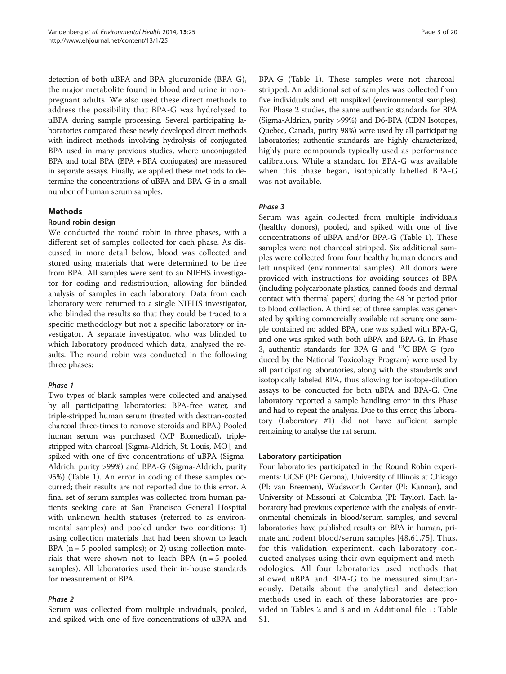<span id="page-2-0"></span>detection of both uBPA and BPA-glucuronide (BPA-G), the major metabolite found in blood and urine in nonpregnant adults. We also used these direct methods to address the possibility that BPA-G was hydrolysed to uBPA during sample processing. Several participating laboratories compared these newly developed direct methods with indirect methods involving hydrolysis of conjugated BPA used in many previous studies, where unconjugated BPA and total BPA (BPA + BPA conjugates) are measured in separate assays. Finally, we applied these methods to determine the concentrations of uBPA and BPA-G in a small number of human serum samples.

#### Methods

#### Round robin design

We conducted the round robin in three phases, with a different set of samples collected for each phase. As discussed in more detail below, blood was collected and stored using materials that were determined to be free from BPA. All samples were sent to an NIEHS investigator for coding and redistribution, allowing for blinded analysis of samples in each laboratory. Data from each laboratory were returned to a single NIEHS investigator, who blinded the results so that they could be traced to a specific methodology but not a specific laboratory or investigator. A separate investigator, who was blinded to which laboratory produced which data, analysed the results. The round robin was conducted in the following three phases:

#### Phase 1

Two types of blank samples were collected and analysed by all participating laboratories: BPA-free water, and triple-stripped human serum (treated with dextran-coated charcoal three-times to remove steroids and BPA.) Pooled human serum was purchased (MP Biomedical), triplestripped with charcoal [Sigma-Aldrich, St. Louis, MO], and spiked with one of five concentrations of uBPA (Sigma-Aldrich, purity >99%) and BPA-G (Sigma-Aldrich, purity 95%) (Table [1\)](#page-3-0). An error in coding of these samples occurred; their results are not reported due to this error. A final set of serum samples was collected from human patients seeking care at San Francisco General Hospital with unknown health statuses (referred to as environmental samples) and pooled under two conditions: 1) using collection materials that had been shown to leach BPA ( $n = 5$  pooled samples); or 2) using collection materials that were shown not to leach BPA  $(n = 5 \text{ pooled})$ samples). All laboratories used their in-house standards for measurement of BPA.

#### Phase 2

Serum was collected from multiple individuals, pooled, and spiked with one of five concentrations of uBPA and BPA-G (Table [1\)](#page-3-0). These samples were not charcoalstripped. An additional set of samples was collected from five individuals and left unspiked (environmental samples). For Phase 2 studies, the same authentic standards for BPA (Sigma-Aldrich, purity >99%) and D6-BPA (CDN Isotopes, Quebec, Canada, purity 98%) were used by all participating laboratories; authentic standards are highly characterized, highly pure compounds typically used as performance calibrators. While a standard for BPA-G was available when this phase began, isotopically labelled BPA-G was not available.

#### Phase 3

Serum was again collected from multiple individuals (healthy donors), pooled, and spiked with one of five concentrations of uBPA and/or BPA-G (Table [1](#page-3-0)). These samples were not charcoal stripped. Six additional samples were collected from four healthy human donors and left unspiked (environmental samples). All donors were provided with instructions for avoiding sources of BPA (including polycarbonate plastics, canned foods and dermal contact with thermal papers) during the 48 hr period prior to blood collection. A third set of three samples was generated by spiking commercially available rat serum; one sample contained no added BPA, one was spiked with BPA-G, and one was spiked with both uBPA and BPA-G. In Phase 3, authentic standards for BPA-G and 13C-BPA-G (produced by the National Toxicology Program) were used by all participating laboratories, along with the standards and isotopically labeled BPA, thus allowing for isotope-dilution assays to be conducted for both uBPA and BPA-G. One laboratory reported a sample handling error in this Phase and had to repeat the analysis. Due to this error, this laboratory (Laboratory #1) did not have sufficient sample remaining to analyse the rat serum.

#### Laboratory participation

Four laboratories participated in the Round Robin experiments: UCSF (PI: Gerona), University of Illinois at Chicago (PI: van Breemen), Wadsworth Center (PI: Kannan), and University of Missouri at Columbia (PI: Taylor). Each laboratory had previous experience with the analysis of environmental chemicals in blood/serum samples, and several laboratories have published results on BPA in human, primate and rodent blood/serum samples [[48](#page-18-0),[61,75](#page-18-0)]. Thus, for this validation experiment, each laboratory conducted analyses using their own equipment and methodologies. All four laboratories used methods that allowed uBPA and BPA-G to be measured simultaneously. Details about the analytical and detection methods used in each of these laboratories are provided in Tables [2](#page-4-0) and [3](#page-5-0) and in Additional file [1:](#page-16-0) Table S1.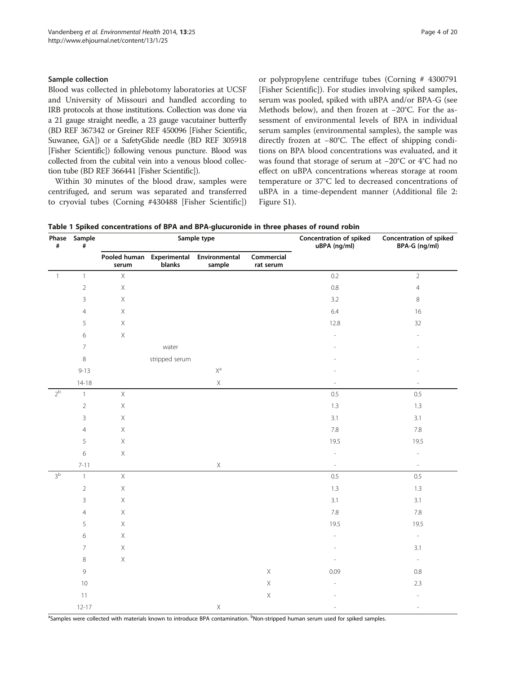#### <span id="page-3-0"></span>Sample collection

Blood was collected in phlebotomy laboratories at UCSF and University of Missouri and handled according to IRB protocols at those institutions. Collection was done via a 21 gauge straight needle, a 23 gauge vacutainer butterfly (BD REF 367342 or Greiner REF 450096 [Fisher Scientific, Suwanee, GA]) or a SafetyGlide needle (BD REF 305918 [Fisher Scientific]) following venous puncture. Blood was collected from the cubital vein into a venous blood collection tube (BD REF 366441 [Fisher Scientific]).

Within 30 minutes of the blood draw, samples were centrifuged, and serum was separated and transferred to cryovial tubes (Corning #430488 [Fisher Scientific])

or polypropylene centrifuge tubes (Corning # 4300791 [Fisher Scientific]). For studies involving spiked samples, serum was pooled, spiked with uBPA and/or BPA-G (see [Methods](#page-2-0) below), and then frozen at −20°C. For the assessment of environmental levels of BPA in individual serum samples (environmental samples), the sample was directly frozen at −80°C. The effect of shipping conditions on BPA blood concentrations was evaluated, and it was found that storage of serum at −20°C or 4°C had no effect on uBPA concentrations whereas storage at room temperature or 37°C led to decreased concentrations of uBPA in a time-dependent manner (Additional file [2](#page-16-0): Figure S1).

Table 1 Spiked concentrations of BPA and BPA-glucuronide in three phases of round robin

| #              | Phase Sample<br>#        | Sample type           |                |                                      |                         | Concentration of spiked<br>uBPA (ng/ml) | Concentration of spiked<br>BPA-G (ng/ml) |
|----------------|--------------------------|-----------------------|----------------|--------------------------------------|-------------------------|-----------------------------------------|------------------------------------------|
|                |                          | Pooled human<br>serum | blanks         | Experimental Environmental<br>sample | Commercial<br>rat serum |                                         |                                          |
| $\overline{1}$ | $\overline{1}$           | $\mathsf X$           |                |                                      |                         | $0.2\,$                                 | $\overline{2}$                           |
|                | $\sqrt{2}$               | $\mathsf X$           |                |                                      |                         | $0.8\,$                                 | $\overline{4}$                           |
|                | 3                        | $\mathsf X$           |                |                                      |                         | 3.2                                     | $\,8\,$                                  |
|                | $\overline{4}$           | $\mathsf X$           |                |                                      |                         | 6.4                                     | 16                                       |
|                | 5                        | $\mathsf X$           |                |                                      |                         | 12.8                                    | 32                                       |
|                | 6                        | $\mathsf X$           |                |                                      |                         |                                         |                                          |
|                | $\overline{7}$           |                       | water          |                                      |                         |                                         |                                          |
|                | $\,8\,$                  |                       | stripped serum |                                      |                         |                                         |                                          |
|                | $9 - 13$                 |                       |                | $\mathsf{X}^\text{a}$                |                         |                                         |                                          |
|                | $14 - 18$                |                       |                | $\mathsf X$                          |                         | $\overline{a}$                          | $\overline{\phantom{a}}$                 |
| $2^{b}$        | $\overline{1}$           | $\mathsf X$           |                |                                      |                         | 0.5                                     | $0.5\,$                                  |
|                | $\sqrt{2}$               | $\mathsf X$           |                |                                      |                         | 1.3                                     | $1.3\,$                                  |
|                | $\mathsf{3}$             | $\mathsf X$           |                |                                      |                         | 3.1                                     | 3.1                                      |
|                | $\overline{4}$           | $\mathsf X$           |                |                                      |                         | 7.8                                     | $7.8\,$                                  |
|                | 5                        | $\mathsf X$           |                |                                      |                         | 19.5                                    | 19.5                                     |
|                | $\epsilon$               | $\mathsf X$           |                |                                      |                         | $\overline{\phantom{a}}$                | $\overline{\phantom{a}}$                 |
|                | $7 - 11$                 |                       |                | $\mathsf X$                          |                         | $\overline{\phantom{a}}$                | $\overline{\phantom{a}}$                 |
| 3 <sup>b</sup> | $\mathbbm{1}$            | $\mathsf X$           |                |                                      |                         | 0.5                                     | $0.5\,$                                  |
|                | $\sqrt{2}$               | $\mathsf X$           |                |                                      |                         | 1.3                                     | $1.3\,$                                  |
|                | 3                        | $\mathsf X$           |                |                                      |                         | 3.1                                     | 3.1                                      |
|                | $\overline{4}$           | $\mathsf X$           |                |                                      |                         | 7.8                                     | $7.8\,$                                  |
|                | 5                        | $\mathsf X$           |                |                                      |                         | 19.5                                    | 19.5                                     |
|                | 6                        | $\mathsf X$           |                |                                      |                         | ÷,                                      | $\sim$                                   |
|                | $\overline{\phantom{a}}$ | $\mathsf X$           |                |                                      |                         |                                         | 3.1                                      |
|                | $\,8\,$                  | $\mathsf X$           |                |                                      |                         |                                         | $\overline{\phantom{a}}$                 |
|                | $\mathsf 9$              |                       |                |                                      | $\mathsf X$             | 0.09                                    | $0.8\,$                                  |
|                | $10$                     |                       |                |                                      | $\mathsf X$             |                                         | 2.3                                      |
|                | $11$                     |                       |                |                                      | $\mathsf X$             |                                         | $\overline{\phantom{m}}$                 |
|                | $12 - 17$                |                       |                | $\mathsf X$                          |                         |                                         | $\overline{\phantom{m}}$                 |

<sup>a</sup>Samples were collected with materials known to introduce BPA contamination. <sup>b</sup>Non-stripped human serum used for spiked samples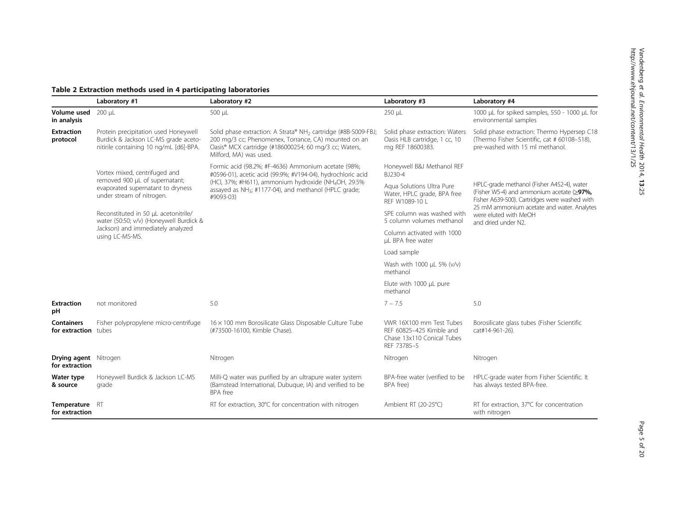# <span id="page-4-0"></span>Table 2 Extraction methods used in 4 participating laboratories

|                                                | Laboratory #1                                                                                                          | Laboratory #2                                                                                                                                                                                                         | Laboratory #3                                                                                     | Laboratory #4                                                                                                                                                                                                                                                                                                                                                                   |
|------------------------------------------------|------------------------------------------------------------------------------------------------------------------------|-----------------------------------------------------------------------------------------------------------------------------------------------------------------------------------------------------------------------|---------------------------------------------------------------------------------------------------|---------------------------------------------------------------------------------------------------------------------------------------------------------------------------------------------------------------------------------------------------------------------------------------------------------------------------------------------------------------------------------|
| Volume used<br>in analysis                     | 200 µL                                                                                                                 | 500 µL                                                                                                                                                                                                                | 250 µL                                                                                            | 1000 µL for spiked samples, 550 - 1000 µL for<br>environmental samples                                                                                                                                                                                                                                                                                                          |
| <b>Extraction</b><br>protocol                  | Protein precipitation used Honeywell<br>Burdick & Jackson LC-MS grade aceto-<br>nitirile containing 10 ng/mL [d6]-BPA. | Solid phase extraction: A Strata® NH <sub>2</sub> cartridge (#8B-S009-FBJ;<br>200 mg/3 cc; Phenomenex, Torrance, CA) mounted on an<br>Oasis® MCX cartridge (#186000254; 60 mg/3 cc; Waters,<br>Milford, MA) was used. | Solid phase extraction: Waters<br>Oasis HLB cartridge, 1 cc, 10<br>mg REF 18600383.               | Solid phase extraction: Thermo Hypersep C18<br>(Thermo Fisher Scientific, cat # 60108-518),<br>pre-washed with 15 ml methanol.<br>HPLC-grade methanol (Fisher A452-4), water<br>(Fisher W5-4) and ammonium acetate $(\geq)$ 97%,<br>Fisher A639-500). Cartridges were washed with<br>25 mM ammonium acetate and water. Analytes<br>were eluted with MeOH<br>and dried under N2. |
|                                                | Vortex mixed, centrifuged and                                                                                          | Formic acid (98.2%; #F-4636) Ammonium acetate (98%;<br>#0596-01), acetic acid (99.9%; #V194-04), hydrochloric acid                                                                                                    | Honeywell B&J Methanol REF<br>BJ230-4                                                             |                                                                                                                                                                                                                                                                                                                                                                                 |
|                                                | removed 900 µL of supernatant;<br>evaporated supernatant to dryness<br>under stream of nitrogen.                       | (HCl, 37%; #H611), ammonium hydroxide (NH4OH, 29.5%<br>assayed as NH <sub>3</sub> ; #1177-04), and methanol (HPLC grade;<br>#9093-03)                                                                                 | Agua Solutions Ultra Pure<br>Water, HPLC grade, BPA free<br>REF W1089-10 L                        |                                                                                                                                                                                                                                                                                                                                                                                 |
|                                                | Reconstituted in 50 µL acetonitrile/<br>water (50:50; v/v) (Honeywell Burdick &                                        |                                                                                                                                                                                                                       | SPF column was washed with<br>5 column volumes methanol                                           |                                                                                                                                                                                                                                                                                                                                                                                 |
|                                                | Jackson) and immediately analyzed<br>using LC-MS-MS.                                                                   |                                                                                                                                                                                                                       | Column activated with 1000<br>µL BPA free water                                                   |                                                                                                                                                                                                                                                                                                                                                                                 |
|                                                |                                                                                                                        |                                                                                                                                                                                                                       | Load sample                                                                                       |                                                                                                                                                                                                                                                                                                                                                                                 |
|                                                |                                                                                                                        |                                                                                                                                                                                                                       | Wash with 1000 µL 5% (v/v)<br>methanol                                                            |                                                                                                                                                                                                                                                                                                                                                                                 |
|                                                |                                                                                                                        |                                                                                                                                                                                                                       | Elute with 1000 µL pure<br>methanol                                                               |                                                                                                                                                                                                                                                                                                                                                                                 |
| <b>Extraction</b><br>рH                        | not monitored                                                                                                          | 5.0                                                                                                                                                                                                                   | $7 - 7.5$                                                                                         | 5.0                                                                                                                                                                                                                                                                                                                                                                             |
| <b>Containers</b><br>for extraction tubes      | Fisher polypropylene micro-centrifuge                                                                                  | 16 x 100 mm Borosilicate Glass Disposable Culture Tube<br>(#73500-16100, Kimble Chase).                                                                                                                               | VWR 16X100 mm Test Tubes<br>REF 60825-425 Kimble and<br>Chase 13x110 Conical Tubes<br>REF 73785-5 | Borosilicate glass tubes (Fisher Scientific<br>cat#14-961-26).                                                                                                                                                                                                                                                                                                                  |
| <b>Drying agent</b> Nitrogen<br>for extraction |                                                                                                                        | Nitrogen                                                                                                                                                                                                              | Nitrogen                                                                                          | Nitrogen                                                                                                                                                                                                                                                                                                                                                                        |
| Water type<br>& source                         | Honeywell Burdick & Jackson LC-MS<br>grade                                                                             | Milli-Q water was purified by an ultrapure water system<br>(Barnstead International, Dubuque, IA) and verified to be<br><b>BPA</b> free                                                                               | BPA-free water (verified to be<br>BPA free)                                                       | HPLC-grade water from Fisher Scientific. It<br>has always tested BPA-free.                                                                                                                                                                                                                                                                                                      |
| Temperature RT<br>for extraction               |                                                                                                                        | RT for extraction, 30°C for concentration with nitrogen                                                                                                                                                               | Ambient RT (20-25°C)                                                                              | RT for extraction, 37°C for concentration<br>with nitrogen                                                                                                                                                                                                                                                                                                                      |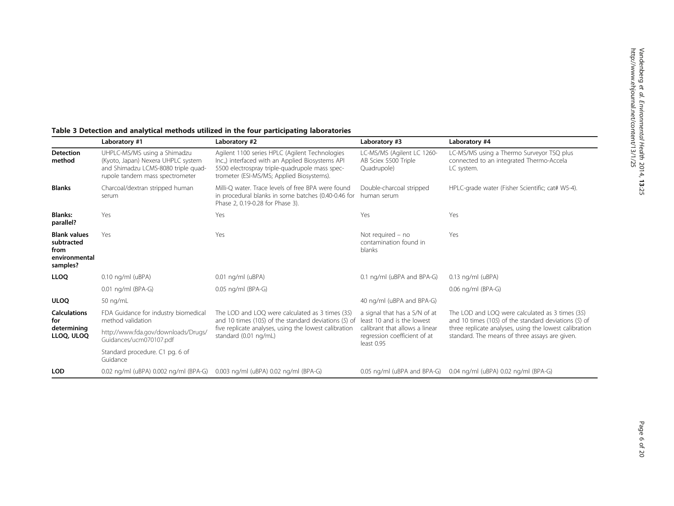# <span id="page-5-0"></span>Table 3 Detection and analytical methods utilized in the four participating laboratories

|                                                                        | Laboratory #1                                                                                                                                | Laboratory #2                                                                                                                                                                                     | Laboratory #3                                                                                                                               | Laboratory #4                                                                                                                                                                                                       |
|------------------------------------------------------------------------|----------------------------------------------------------------------------------------------------------------------------------------------|---------------------------------------------------------------------------------------------------------------------------------------------------------------------------------------------------|---------------------------------------------------------------------------------------------------------------------------------------------|---------------------------------------------------------------------------------------------------------------------------------------------------------------------------------------------------------------------|
| <b>Detection</b><br>method                                             | UHPLC-MS/MS using a Shimadzu<br>(Kyoto, Japan) Nexera UHPLC system<br>and Shimadzu LCMS-8080 triple quad-<br>rupole tandem mass spectrometer | Agilent 1100 series HPLC (Agilent Technologies<br>Inc.,) interfaced with an Applied Biosystems API<br>5500 electrospray triple-quadrupole mass spec-<br>trometer (ESI-MS/MS; Applied Biosystems). | LC-MS/MS (Agilent LC 1260-<br>AB Sciex 5500 Triple<br>Quadrupole)                                                                           | LC-MS/MS using a Thermo Surveyor TSQ plus<br>connected to an integrated Thermo-Accela<br>LC system.                                                                                                                 |
| <b>Blanks</b>                                                          | Charcoal/dextran stripped human<br>serum                                                                                                     | Milli-O water. Trace levels of free BPA were found<br>in procedural blanks in some batches (0.40-0.46 for<br>Phase 2, 0.19-0.28 for Phase 3).                                                     | Double-charcoal stripped<br>human serum                                                                                                     | HPLC-grade water (Fisher Scientific; cat# W5-4).                                                                                                                                                                    |
| <b>Blanks:</b><br>parallel?                                            | Yes                                                                                                                                          | Yes                                                                                                                                                                                               | Yes                                                                                                                                         | Yes                                                                                                                                                                                                                 |
| <b>Blank values</b><br>subtracted<br>from<br>environmental<br>samples? | Yes                                                                                                                                          | Yes                                                                                                                                                                                               | Not required - no<br>contamination found in<br>blanks                                                                                       | Yes                                                                                                                                                                                                                 |
| <b>LLOO</b>                                                            | $0.10$ ng/ml (uBPA)                                                                                                                          | 0.01 ng/ml (uBPA)                                                                                                                                                                                 | 0.1 ng/ml (uBPA and BPA-G)                                                                                                                  | $0.13$ ng/ml (uBPA)                                                                                                                                                                                                 |
|                                                                        | $0.01$ ng/ml (BPA-G)                                                                                                                         | $0.05$ ng/ml (BPA-G)                                                                                                                                                                              |                                                                                                                                             | $0.06$ ng/ml (BPA-G)                                                                                                                                                                                                |
| <b>ULOQ</b>                                                            | $50$ ng/mL                                                                                                                                   |                                                                                                                                                                                                   | 40 ng/ml (uBPA and BPA-G)                                                                                                                   |                                                                                                                                                                                                                     |
| <b>Calculations</b><br>for                                             | FDA Guidance for industry biomedical<br>method validation                                                                                    | The LOD and LOQ were calculated as 3 times (35)<br>and 10 times (10S) of the standard deviations (S) of                                                                                           | a signal that has a S/N of at<br>least 10 and is the lowest<br>calibrant that allows a linear<br>regression coefficient of at<br>least 0.95 | The LOD and LOQ were calculated as 3 times (35)<br>and 10 times (10S) of the standard deviations (S) of<br>three replicate analyses, using the lowest calibration<br>standard. The means of three assays are given. |
| determining<br>LLOQ, ULOQ                                              | http://www.fda.gov/downloads/Drugs/<br>Guidances/ucm070107.pdf                                                                               | five replicate analyses, using the lowest calibration<br>standard (0.01 ng/mL)                                                                                                                    |                                                                                                                                             |                                                                                                                                                                                                                     |
|                                                                        | Standard procedure. C1 pg. 6 of<br>Guidance                                                                                                  |                                                                                                                                                                                                   |                                                                                                                                             |                                                                                                                                                                                                                     |
| <b>LOD</b>                                                             | 0.02 ng/ml (uBPA) 0.002 ng/ml (BPA-G)                                                                                                        | 0.003 ng/ml (uBPA) 0.02 ng/ml (BPA-G)                                                                                                                                                             | 0.05 ng/ml (uBPA and BPA-G)                                                                                                                 | 0.04 ng/ml (uBPA) 0.02 ng/ml (BPA-G)                                                                                                                                                                                |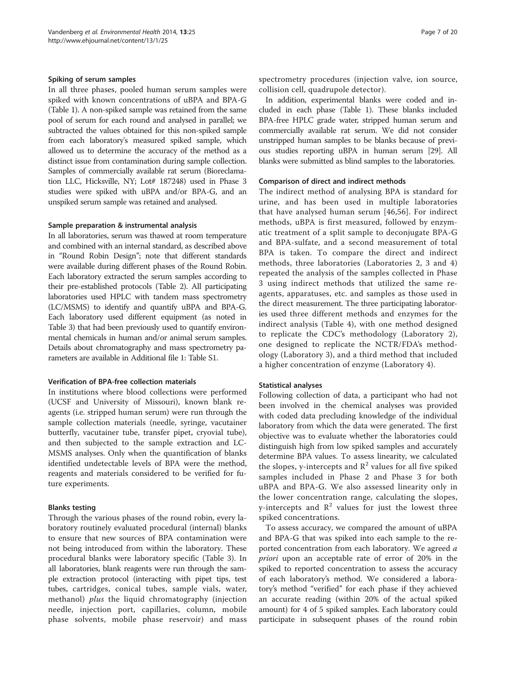#### Spiking of serum samples

In all three phases, pooled human serum samples were spiked with known concentrations of uBPA and BPA-G (Table [1](#page-3-0)). A non-spiked sample was retained from the same pool of serum for each round and analysed in parallel; we subtracted the values obtained for this non-spiked sample from each laboratory's measured spiked sample, which allowed us to determine the accuracy of the method as a distinct issue from contamination during sample collection. Samples of commercially available rat serum (Bioreclamation LLC, Hicksville, NY; Lot# 187248) used in Phase 3 studies were spiked with uBPA and/or BPA-G, and an unspiked serum sample was retained and analysed.

#### Sample preparation & instrumental analysis

In all laboratories, serum was thawed at room temperature and combined with an internal standard, as described above in "Round Robin Design"; note that different standards were available during different phases of the Round Robin. Each laboratory extracted the serum samples according to their pre-established protocols (Table [2](#page-4-0)). All participating laboratories used HPLC with tandem mass spectrometry (LC/MSMS) to identify and quantify uBPA and BPA-G. Each laboratory used different equipment (as noted in Table [3](#page-5-0)) that had been previously used to quantify environmental chemicals in human and/or animal serum samples. Details about chromatography and mass spectrometry parameters are available in Additional file [1](#page-16-0): Table S1.

#### Verification of BPA-free collection materials

In institutions where blood collections were performed (UCSF and University of Missouri), known blank reagents (i.e. stripped human serum) were run through the sample collection materials (needle, syringe, vacutainer butterfly, vacutainer tube, transfer pipet, cryovial tube), and then subjected to the sample extraction and LC-MSMS analyses. Only when the quantification of blanks identified undetectable levels of BPA were the method, reagents and materials considered to be verified for future experiments.

#### Blanks testing

Through the various phases of the round robin, every laboratory routinely evaluated procedural (internal) blanks to ensure that new sources of BPA contamination were not being introduced from within the laboratory. These procedural blanks were laboratory specific (Table [3\)](#page-5-0). In all laboratories, blank reagents were run through the sample extraction protocol (interacting with pipet tips, test tubes, cartridges, conical tubes, sample vials, water, methanol) plus the liquid chromatography (injection needle, injection port, capillaries, column, mobile phase solvents, mobile phase reservoir) and mass spectrometry procedures (injection valve, ion source, collision cell, quadrupole detector).

In addition, experimental blanks were coded and included in each phase (Table [1\)](#page-3-0). These blanks included BPA-free HPLC grade water, stripped human serum and commercially available rat serum. We did not consider unstripped human samples to be blanks because of previous studies reporting uBPA in human serum [[29](#page-17-0)]. All blanks were submitted as blind samples to the laboratories.

#### Comparison of direct and indirect methods

The indirect method of analysing BPA is standard for urine, and has been used in multiple laboratories that have analysed human serum [[46](#page-18-0),[56\]](#page-18-0). For indirect methods, uBPA is first measured, followed by enzymatic treatment of a split sample to deconjugate BPA-G and BPA-sulfate, and a second measurement of total BPA is taken. To compare the direct and indirect methods, three laboratories (Laboratories 2, 3 and 4) repeated the analysis of the samples collected in Phase 3 using indirect methods that utilized the same reagents, apparatuses, etc. and samples as those used in the direct measurement. The three participating laboratories used three different methods and enzymes for the indirect analysis (Table [4\)](#page-7-0), with one method designed to replicate the CDC's methodology (Laboratory 2), one designed to replicate the NCTR/FDA's methodology (Laboratory 3), and a third method that included a higher concentration of enzyme (Laboratory 4).

#### Statistical analyses

Following collection of data, a participant who had not been involved in the chemical analyses was provided with coded data precluding knowledge of the individual laboratory from which the data were generated. The first objective was to evaluate whether the laboratories could distinguish high from low spiked samples and accurately determine BPA values. To assess linearity, we calculated the slopes, y-intercepts and  $R^2$  values for all five spiked samples included in Phase 2 and Phase 3 for both uBPA and BPA-G. We also assessed linearity only in the lower concentration range, calculating the slopes, y-intercepts and  $\mathbb{R}^2$  values for just the lowest three spiked concentrations.

To assess accuracy, we compared the amount of uBPA and BPA-G that was spiked into each sample to the reported concentration from each laboratory. We agreed a priori upon an acceptable rate of error of 20% in the spiked to reported concentration to assess the accuracy of each laboratory's method. We considered a laboratory's method "verified" for each phase if they achieved an accurate reading (within 20% of the actual spiked amount) for 4 of 5 spiked samples. Each laboratory could participate in subsequent phases of the round robin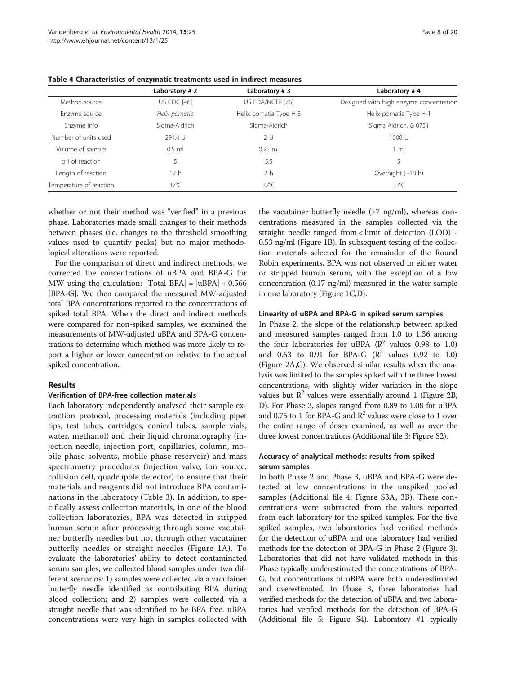|                         | Laboratory # 2     | Laboratory #3          | Laboratory #4                           |
|-------------------------|--------------------|------------------------|-----------------------------------------|
| Method source           | <b>US CDC [46]</b> | US FDA/NCTR [76]       | Designed with high enzyme concentration |
| Enzyme source           | Helix pomatia      | Helix pomatia Type H-3 | Helix pomatia Type H-1                  |
| Enzyme info             | Sigma-Aldrich      | Sigma-Aldrich          | Sigma Aldrich, G 0751                   |
| Number of units used    | 291.4 U            | 2U                     | 1000 U                                  |
| Volume of sample        | $0.5$ ml           | $0.25$ m               | $1 \text{ ml}$                          |
| pH of reaction          |                    | 5.5                    |                                         |
| Length of reaction      | 12 h               | 2 <sub>h</sub>         | Overnight $(-18 h)$                     |
| Temperature of reaction | $37^{\circ}$ C     | $37^{\circ}$ C         | $37^{\circ}$ C                          |

<span id="page-7-0"></span>Table 4 Characteristics of enzymatic treatments used in indirect measures

whether or not their method was "verified" in a previous phase. Laboratories made small changes to their methods between phases (i.e. changes to the threshold smoothing values used to quantify peaks) but no major methodological alterations were reported.

For the comparison of direct and indirect methods, we corrected the concentrations of uBPA and BPA-G for MW using the calculation:  $[Total BPA] = [uBPA] + 0.566$ [BPA-G]. We then compared the measured MW-adjusted total BPA concentrations reported to the concentrations of spiked total BPA. When the direct and indirect methods were compared for non-spiked samples, we examined the measurements of MW-adjusted uBPA and BPA-G concentrations to determine which method was more likely to report a higher or lower concentration relative to the actual spiked concentration.

### Results

#### Verification of BPA-free collection materials

Each laboratory independently analysed their sample extraction protocol, processing materials (including pipet tips, test tubes, cartridges, conical tubes, sample vials, water, methanol) and their liquid chromatography (injection needle, injection port, capillaries, column, mobile phase solvents, mobile phase reservoir) and mass spectrometry procedures (injection valve, ion source, collision cell, quadrupole detector) to ensure that their materials and reagents did not introduce BPA contaminations in the laboratory (Table [3](#page-5-0)). In addition, to specifically assess collection materials, in one of the blood collection laboratories, BPA was detected in stripped human serum after processing through some vacutainer butterfly needles but not through other vacutainer butterfly needles or straight needles (Figure [1](#page-8-0)A). To evaluate the laboratories' ability to detect contaminated serum samples, we collected blood samples under two different scenarios: 1) samples were collected via a vacutainer butterfly needle identified as contributing BPA during blood collection; and 2) samples were collected via a straight needle that was identified to be BPA free. uBPA concentrations were very high in samples collected with

the vacutainer butterfly needle (>7 ng/ml), whereas concentrations measured in the samples collected via the straight needle ranged from < limit of detection (LOD) - 0.53 ng/ml (Figure [1B](#page-8-0)). In subsequent testing of the collection materials selected for the remainder of the Round Robin experiments, BPA was not observed in either water or stripped human serum, with the exception of a low concentration (0.17 ng/ml) measured in the water sample in one laboratory (Figure [1](#page-8-0)C,D).

#### Linearity of uBPA and BPA-G in spiked serum samples

In Phase 2, the slope of the relationship between spiked and measured samples ranged from 1.0 to 1.36 among the four laboratories for uBPA ( $\mathbb{R}^2$  values 0.98 to 1.0) and 0.63 to 0.91 for BPA-G  $(R^2$  values 0.92 to 1.0) (Figure [2A](#page-9-0),C). We observed similar results when the analysis was limited to the samples spiked with the three lowest concentrations, with slightly wider variation in the slope values but  $\mathbb{R}^2$  values were essentially around 1 (Figure [2B](#page-9-0), D). For Phase 3, slopes ranged from 0.89 to 1.08 for uBPA and 0.75 to 1 for BPA-G and  $\mathbb{R}^2$  values were close to 1 over the entire range of doses examined, as well as over the three lowest concentrations (Additional file [3](#page-16-0): Figure S2).

# Accuracy of analytical methods: results from spiked serum samples

In both Phase 2 and Phase 3, uBPA and BPA-G were detected at low concentrations in the unspiked pooled samples (Additional file [4](#page-16-0): Figure S3A, 3B). These concentrations were subtracted from the values reported from each laboratory for the spiked samples. For the five spiked samples, two laboratories had verified methods for the detection of uBPA and one laboratory had verified methods for the detection of BPA-G in Phase 2 (Figure [3](#page-11-0)). Laboratories that did not have validated methods in this Phase typically underestimated the concentrations of BPA-G, but concentrations of uBPA were both underestimated and overestimated. In Phase 3, three laboratories had verified methods for the detection of uBPA and two laboratories had verified methods for the detection of BPA-G (Additional file [5:](#page-16-0) Figure S4). Laboratory #1 typically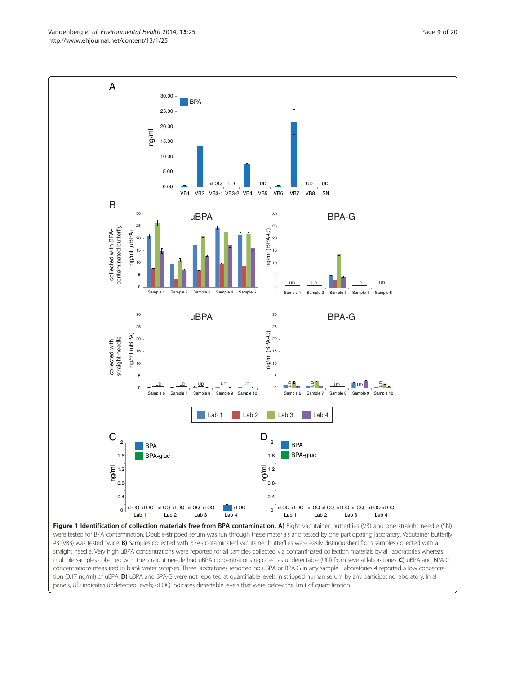Figure 1 Identification of collection materials free from BPA contamination. A) Eight vacutainer butterflies (VB) and one straight needle (SN) were tested for BPA contamination. Double-stripped serum was run through these materials and tested by one participating laboratory. Vacutainer butterfly #3 (VB3) was tested twice. **B)** Samples collected with BPA-contaminated vacutainer butterflies were easily distinguished from samples collected with a straight needle. Very high uBPA concentrations were reported for all samples collected via contaminated collection materials by all laboratories whereas multiple samples collected with the straight needle had uBPA concentrations reported as undetectable (UD) from several laboratories. C) uBPA and BPA-G concentrations measured in blank water samples. Three laboratories reported no uBPA or BPA-G in any sample. Laboratories 4 reported a low concentration (0.17 ng/ml) of uBPA. D) uBPA and BPA-G were not reported at quantifiable levels in stripped human serum by any participating laboratory. In all panels, UD indicates undetected levels; <LOQ indicates detectable levels that were below the limit of quantification.

<span id="page-8-0"></span>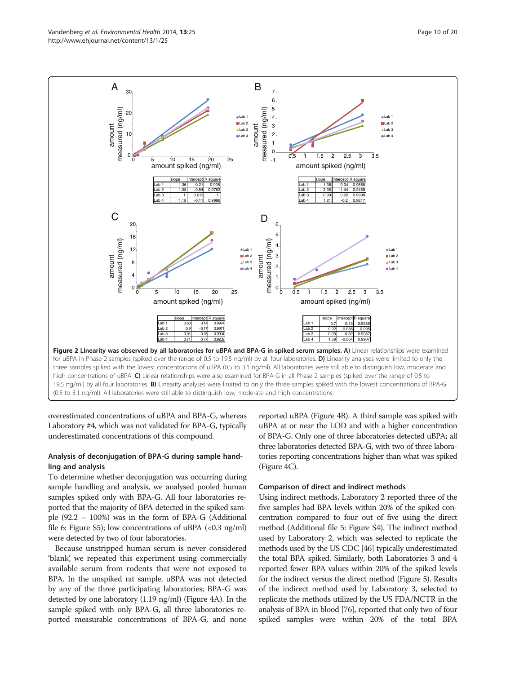overestimated concentrations of uBPA and BPA-G, whereas Laboratory #4, which was not validated for BPA-G, typically underestimated concentrations of this compound.

### Analysis of deconjugation of BPA-G during sample handling and analysis

To determine whether deconjugation was occurring during sample handling and analysis, we analysed pooled human samples spiked only with BPA-G. All four laboratories reported that the majority of BPA detected in the spiked sample (92.2 – 100%) was in the form of BPA-G (Additional file [6](#page-16-0): Figure S5); low concentrations of uBPA  $\langle$  <0.3 ng/ml) were detected by two of four laboratories.

Because unstripped human serum is never considered 'blank', we repeated this experiment using commercially available serum from rodents that were not exposed to BPA. In the unspiked rat sample, uBPA was not detected by any of the three participating laboratories; BPA-G was detected by one laboratory (1.19 ng/ml) (Figure [4A](#page-12-0)). In the sample spiked with only BPA-G, all three laboratories reported measurable concentrations of BPA-G, and none reported uBPA (Figure [4](#page-12-0)B). A third sample was spiked with uBPA at or near the LOD and with a higher concentration of BPA-G. Only one of three laboratories detected uBPA; all three laboratories detected BPA-G, with two of three laboratories reporting concentrations higher than what was spiked (Figure [4](#page-12-0)C).

#### Comparison of direct and indirect methods

Using indirect methods, Laboratory 2 reported three of the five samples had BPA levels within 20% of the spiked concentration compared to four out of five using the direct method (Additional file [5](#page-16-0): Figure S4). The indirect method used by Laboratory 2, which was selected to replicate the methods used by the US CDC [\[46\]](#page-18-0) typically underestimated the total BPA spiked. Similarly, both Laboratories 3 and 4 reported fewer BPA values within 20% of the spiked levels for the indirect versus the direct method (Figure [5\)](#page-13-0). Results of the indirect method used by Laboratory 3, selected to replicate the methods utilized by the US FDA/NCTR in the analysis of BPA in blood [\[76](#page-18-0)], reported that only two of four spiked samples were within 20% of the total BPA

<span id="page-9-0"></span>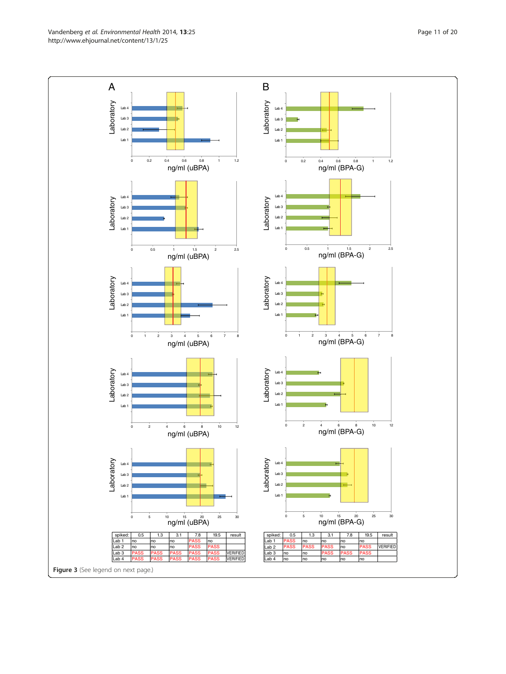Vandenberg et al. Environmental Health 2014, 13:25 Page 11 of 20 http://www.ehjournal.net/content/13/1/25

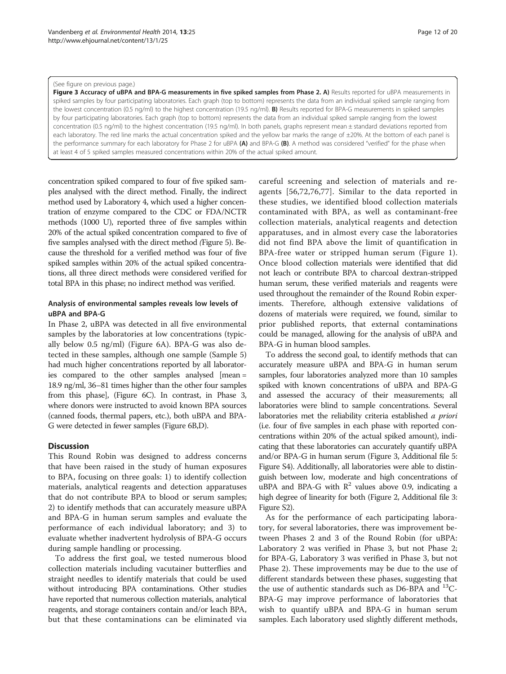#### <span id="page-11-0"></span>(See figure on previous page.)

Figure 3 Accuracy of uBPA and BPA-G measurements in five spiked samples from Phase 2. A) Results reported for uBPA measurements in spiked samples by four participating laboratories. Each graph (top to bottom) represents the data from an individual spiked sample ranging from the lowest concentration (0.5 ng/ml) to the highest concentration (19.5 ng/ml). **B)** Results reported for BPA-G measurements in spiked samples by four participating laboratories. Each graph (top to bottom) represents the data from an individual spiked sample ranging from the lowest concentration (0.5 ng/ml) to the highest concentration (19.5 ng/ml). In both panels, graphs represent mean ± standard deviations reported from each laboratory. The red line marks the actual concentration spiked and the yellow bar marks the range of ±20%. At the bottom of each panel is the performance summary for each laboratory for Phase 2 for uBPA (A) and BPA-G (B). A method was considered "verified" for the phase when at least 4 of 5 spiked samples measured concentrations within 20% of the actual spiked amount.

concentration spiked compared to four of five spiked samples analysed with the direct method. Finally, the indirect method used by Laboratory 4, which used a higher concentration of enzyme compared to the CDC or FDA/NCTR methods (1000 U), reported three of five samples within 20% of the actual spiked concentration compared to five of five samples analysed with the direct method (Figure [5\)](#page-13-0). Because the threshold for a verified method was four of five spiked samples within 20% of the actual spiked concentrations, all three direct methods were considered verified for total BPA in this phase; no indirect method was verified.

#### Analysis of environmental samples reveals low levels of uBPA and BPA-G

In Phase 2, uBPA was detected in all five environmental samples by the laboratories at low concentrations (typically below 0.5 ng/ml) (Figure [6A](#page-15-0)). BPA-G was also detected in these samples, although one sample (Sample 5) had much higher concentrations reported by all laboratories compared to the other samples analysed [mean = 18.9 ng/ml, 36–81 times higher than the other four samples from this phase], (Figure [6C](#page-15-0)). In contrast, in Phase 3, where donors were instructed to avoid known BPA sources (canned foods, thermal papers, etc.), both uBPA and BPA-G were detected in fewer samples (Figure [6B](#page-15-0),D).

#### **Discussion**

This Round Robin was designed to address concerns that have been raised in the study of human exposures to BPA, focusing on three goals: 1) to identify collection materials, analytical reagents and detection apparatuses that do not contribute BPA to blood or serum samples; 2) to identify methods that can accurately measure uBPA and BPA-G in human serum samples and evaluate the performance of each individual laboratory; and 3) to evaluate whether inadvertent hydrolysis of BPA-G occurs during sample handling or processing.

To address the first goal, we tested numerous blood collection materials including vacutainer butterflies and straight needles to identify materials that could be used without introducing BPA contaminations. Other studies have reported that numerous collection materials, analytical reagents, and storage containers contain and/or leach BPA, but that these contaminations can be eliminated via

careful screening and selection of materials and reagents [[56](#page-18-0),[72,76](#page-18-0),[77\]](#page-18-0). Similar to the data reported in these studies, we identified blood collection materials contaminated with BPA, as well as contaminant-free collection materials, analytical reagents and detection apparatuses, and in almost every case the laboratories did not find BPA above the limit of quantification in BPA-free water or stripped human serum (Figure [1](#page-8-0)). Once blood collection materials were identified that did not leach or contribute BPA to charcoal dextran-stripped human serum, these verified materials and reagents were used throughout the remainder of the Round Robin experiments. Therefore, although extensive validations of dozens of materials were required, we found, similar to prior published reports, that external contaminations could be managed, allowing for the analysis of uBPA and BPA-G in human blood samples.

To address the second goal, to identify methods that can accurately measure uBPA and BPA-G in human serum samples, four laboratories analyzed more than 10 samples spiked with known concentrations of uBPA and BPA-G and assessed the accuracy of their measurements; all laboratories were blind to sample concentrations. Several laboratories met the reliability criteria established a priori (i.e. four of five samples in each phase with reported concentrations within 20% of the actual spiked amount), indicating that these laboratories can accurately quantify uBPA and/or BPA-G in human serum (Figure 3, Additional file [5](#page-16-0): Figure S4). Additionally, all laboratories were able to distinguish between low, moderate and high concentrations of uBPA and BPA-G with  $R^2$  values above 0.9, indicating a high degree of linearity for both (Figure [2](#page-9-0), Additional file [3](#page-16-0): Figure S2).

As for the performance of each participating laboratory, for several laboratories, there was improvement between Phases 2 and 3 of the Round Robin (for uBPA: Laboratory 2 was verified in Phase 3, but not Phase 2; for BPA-G, Laboratory 3 was verified in Phase 3, but not Phase 2). These improvements may be due to the use of different standards between these phases, suggesting that the use of authentic standards such as D6-BPA and  $^{13}C$ -BPA-G may improve performance of laboratories that wish to quantify uBPA and BPA-G in human serum samples. Each laboratory used slightly different methods,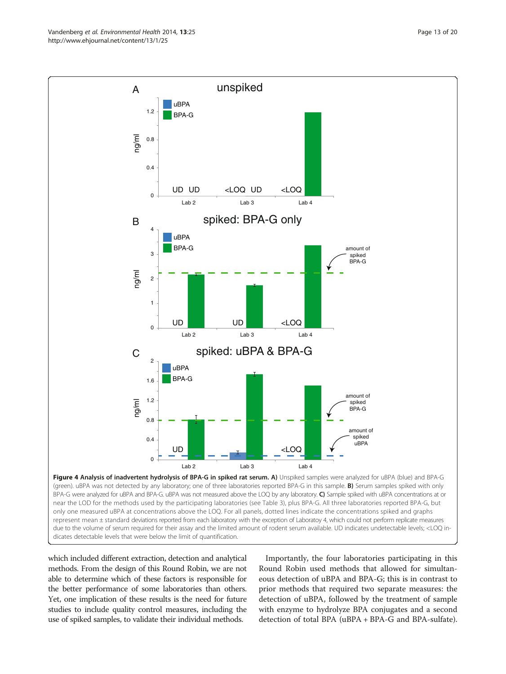which included different extraction, detection and analytical methods. From the design of this Round Robin, we are not able to determine which of these factors is responsible for the better performance of some laboratories than others. Yet, one implication of these results is the need for future studies to include quality control measures, including the use of spiked samples, to validate their individual methods.

Importantly, the four laboratories participating in this Round Robin used methods that allowed for simultaneous detection of uBPA and BPA-G; this is in contrast to prior methods that required two separate measures: the detection of uBPA, followed by the treatment of sample with enzyme to hydrolyze BPA conjugates and a second detection of total BPA (uBPA + BPA-G and BPA-sulfate).

<span id="page-12-0"></span>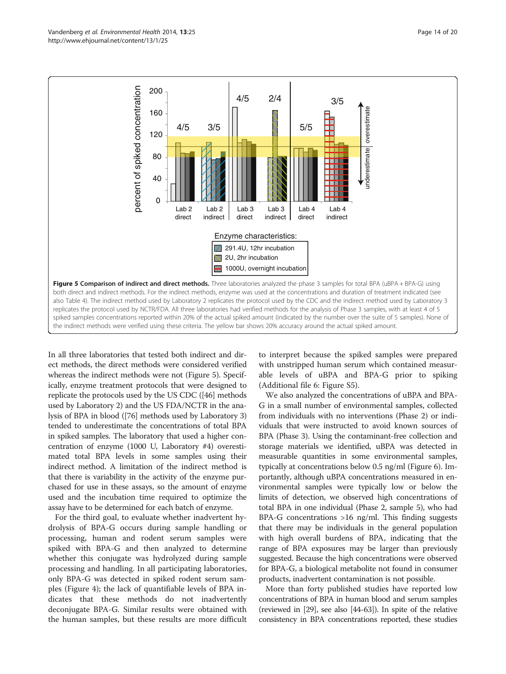<span id="page-13-0"></span>

In all three laboratories that tested both indirect and direct methods, the direct methods were considered verified whereas the indirect methods were not (Figure 5). Specifically, enzyme treatment protocols that were designed to replicate the protocols used by the US CDC ([[46](#page-18-0)] methods used by Laboratory 2) and the US FDA/NCTR in the analysis of BPA in blood ([\[76](#page-18-0)] methods used by Laboratory 3) tended to underestimate the concentrations of total BPA in spiked samples. The laboratory that used a higher concentration of enzyme (1000 U, Laboratory #4) overestimated total BPA levels in some samples using their indirect method. A limitation of the indirect method is that there is variability in the activity of the enzyme purchased for use in these assays, so the amount of enzyme used and the incubation time required to optimize the assay have to be determined for each batch of enzyme.

For the third goal, to evaluate whether inadvertent hydrolysis of BPA-G occurs during sample handling or processing, human and rodent serum samples were spiked with BPA-G and then analyzed to determine whether this conjugate was hydrolyzed during sample processing and handling. In all participating laboratories, only BPA-G was detected in spiked rodent serum samples (Figure [4](#page-12-0)); the lack of quantifiable levels of BPA indicates that these methods do not inadvertently deconjugate BPA-G. Similar results were obtained with the human samples, but these results are more difficult to interpret because the spiked samples were prepared with unstripped human serum which contained measurable levels of uBPA and BPA-G prior to spiking (Additional file [6](#page-16-0): Figure S5).

We also analyzed the concentrations of uBPA and BPA-G in a small number of environmental samples, collected from individuals with no interventions (Phase 2) or individuals that were instructed to avoid known sources of BPA (Phase 3). Using the contaminant-free collection and storage materials we identified, uBPA was detected in measurable quantities in some environmental samples, typically at concentrations below 0.5 ng/ml (Figure [6\)](#page-15-0). Importantly, although uBPA concentrations measured in environmental samples were typically low or below the limits of detection, we observed high concentrations of total BPA in one individual (Phase 2, sample 5), who had BPA-G concentrations >16 ng/ml. This finding suggests that there may be individuals in the general population with high overall burdens of BPA, indicating that the range of BPA exposures may be larger than previously suggested. Because the high concentrations were observed for BPA-G, a biological metabolite not found in consumer products, inadvertent contamination is not possible.

More than forty published studies have reported low concentrations of BPA in human blood and serum samples (reviewed in [\[29\]](#page-17-0), see also [[44-63\]](#page-18-0)). In spite of the relative consistency in BPA concentrations reported, these studies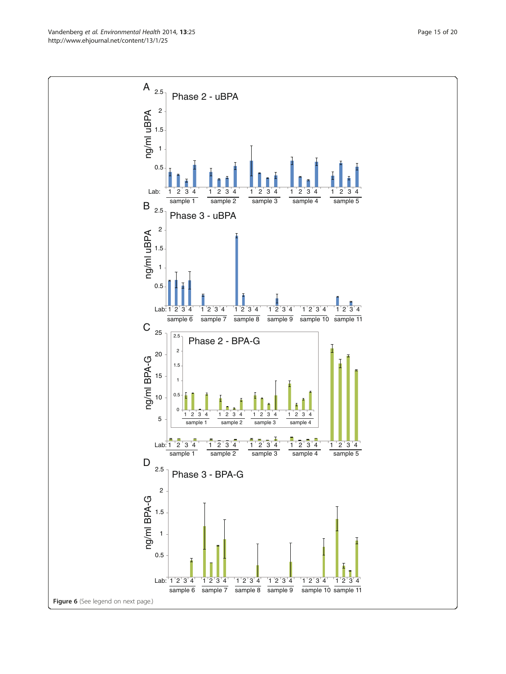Vandenberg et al. Environmental Health 2014, 13:25 Page 15 of 20 http://www.ehjournal.net/content/13/1/25

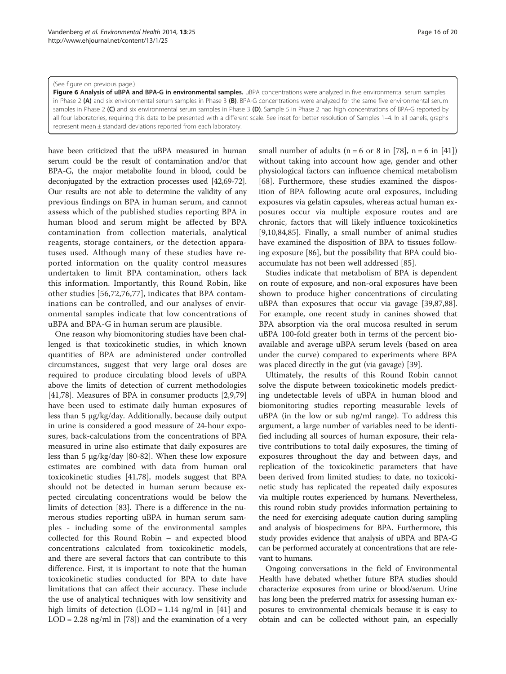#### <span id="page-15-0"></span>(See figure on previous page.)

Figure 6 Analysis of uBPA and BPA-G in environmental samples. uBPA concentrations were analyzed in five environmental serum samples in Phase 2 (A) and six environmental serum samples in Phase 3 (B). BPA-G concentrations were analyzed for the same five environmental serum samples in Phase 2 (C) and six environmental serum samples in Phase 3 (D). Sample 5 in Phase 2 had high concentrations of BPA-G reported by all four laboratories, requiring this data to be presented with a different scale. See inset for better resolution of Samples 1–4. In all panels, graphs represent mean ± standard deviations reported from each laboratory.

have been criticized that the uBPA measured in human serum could be the result of contamination and/or that BPA-G, the major metabolite found in blood, could be deconjugated by the extraction processes used [[42,69-72](#page-18-0)]. Our results are not able to determine the validity of any previous findings on BPA in human serum, and cannot assess which of the published studies reporting BPA in human blood and serum might be affected by BPA contamination from collection materials, analytical reagents, storage containers, or the detection apparatuses used. Although many of these studies have reported information on the quality control measures undertaken to limit BPA contamination, others lack this information. Importantly, this Round Robin, like other studies [[56,72,76,77\]](#page-18-0), indicates that BPA contaminations can be controlled, and our analyses of environmental samples indicate that low concentrations of uBPA and BPA-G in human serum are plausible.

One reason why biomonitoring studies have been challenged is that toxicokinetic studies, in which known quantities of BPA are administered under controlled circumstances, suggest that very large oral doses are required to produce circulating blood levels of uBPA above the limits of detection of current methodologies [[41,78\]](#page-18-0). Measures of BPA in consumer products [\[2,9](#page-17-0),[79](#page-18-0)] have been used to estimate daily human exposures of less than 5 μg/kg/day. Additionally, because daily output in urine is considered a good measure of 24-hour exposures, back-calculations from the concentrations of BPA measured in urine also estimate that daily exposures are less than 5 μg/kg/day [[80](#page-19-0)-[82\]](#page-19-0). When these low exposure estimates are combined with data from human oral toxicokinetic studies [[41](#page-18-0),[78](#page-18-0)], models suggest that BPA should not be detected in human serum because expected circulating concentrations would be below the limits of detection [[83](#page-19-0)]. There is a difference in the numerous studies reporting uBPA in human serum samples - including some of the environmental samples collected for this Round Robin – and expected blood concentrations calculated from toxicokinetic models, and there are several factors that can contribute to this difference. First, it is important to note that the human toxicokinetic studies conducted for BPA to date have limitations that can affect their accuracy. These include the use of analytical techniques with low sensitivity and high limits of detection  $(LOD = 1.14$  ng/ml in [\[41](#page-18-0)] and  $LOD = 2.28$  ng/ml in [\[78](#page-18-0)]) and the examination of a very small number of adults  $(n = 6 \text{ or } 8 \text{ in } [78], n = 6 \text{ in } [41])$  $(n = 6 \text{ or } 8 \text{ in } [78], n = 6 \text{ in } [41])$  $(n = 6 \text{ or } 8 \text{ in } [78], n = 6 \text{ in } [41])$  $(n = 6 \text{ or } 8 \text{ in } [78], n = 6 \text{ in } [41])$  $(n = 6 \text{ or } 8 \text{ in } [78], n = 6 \text{ in } [41])$ without taking into account how age, gender and other physiological factors can influence chemical metabolism [[68\]](#page-18-0). Furthermore, these studies examined the disposition of BPA following acute oral exposures, including exposures via gelatin capsules, whereas actual human exposures occur via multiple exposure routes and are chronic, factors that will likely influence toxicokinetics [[9,10,](#page-17-0)[84,85\]](#page-19-0). Finally, a small number of animal studies have examined the disposition of BPA to tissues following exposure [\[86\]](#page-19-0), but the possibility that BPA could bioaccumulate has not been well addressed [\[85\]](#page-19-0).

Studies indicate that metabolism of BPA is dependent on route of exposure, and non-oral exposures have been shown to produce higher concentrations of circulating uBPA than exposures that occur via gavage [[39](#page-18-0)[,87,88](#page-19-0)]. For example, one recent study in canines showed that BPA absorption via the oral mucosa resulted in serum uBPA 100-fold greater both in terms of the percent bioavailable and average uBPA serum levels (based on area under the curve) compared to experiments where BPA was placed directly in the gut (via gavage) [\[39\]](#page-18-0).

Ultimately, the results of this Round Robin cannot solve the dispute between toxicokinetic models predicting undetectable levels of uBPA in human blood and biomonitoring studies reporting measurable levels of uBPA (in the low or sub ng/ml range). To address this argument, a large number of variables need to be identified including all sources of human exposure, their relative contributions to total daily exposures, the timing of exposures throughout the day and between days, and replication of the toxicokinetic parameters that have been derived from limited studies; to date, no toxicokinetic study has replicated the repeated daily exposures via multiple routes experienced by humans. Nevertheless, this round robin study provides information pertaining to the need for exercising adequate caution during sampling and analysis of biospecimens for BPA. Furthermore, this study provides evidence that analysis of uBPA and BPA-G can be performed accurately at concentrations that are relevant to humans.

Ongoing conversations in the field of Environmental Health have debated whether future BPA studies should characterize exposures from urine or blood/serum. Urine has long been the preferred matrix for assessing human exposures to environmental chemicals because it is easy to obtain and can be collected without pain, an especially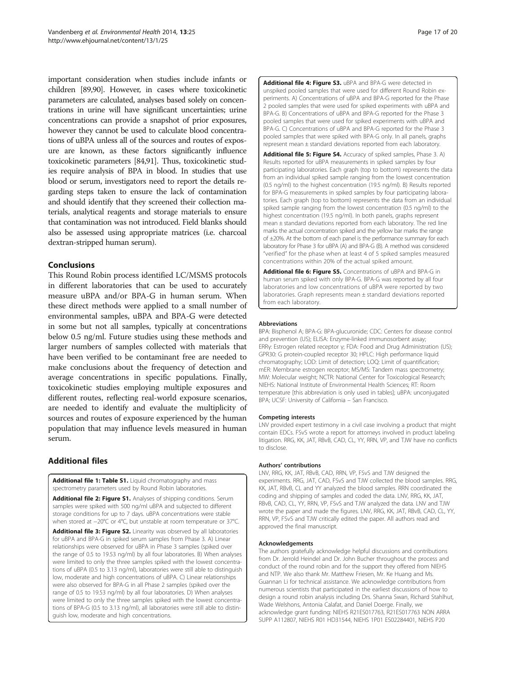<span id="page-16-0"></span>important consideration when studies include infants or children [[89,90](#page-19-0)]. However, in cases where toxicokinetic parameters are calculated, analyses based solely on concentrations in urine will have significant uncertainties; urine concentrations can provide a snapshot of prior exposures, however they cannot be used to calculate blood concentrations of uBPA unless all of the sources and routes of exposure are known, as these factors significantly influence toxicokinetic parameters [[84,91\]](#page-19-0). Thus, toxicokinetic studies require analysis of BPA in blood. In studies that use blood or serum, investigators need to report the details regarding steps taken to ensure the lack of contamination and should identify that they screened their collection materials, analytical reagents and storage materials to ensure that contamination was not introduced. Field blanks should also be assessed using appropriate matrices (i.e. charcoal dextran-stripped human serum).

# Conclusions

This Round Robin process identified LC/MSMS protocols in different laboratories that can be used to accurately measure uBPA and/or BPA-G in human serum. When these direct methods were applied to a small number of environmental samples, uBPA and BPA-G were detected in some but not all samples, typically at concentrations below 0.5 ng/ml. Future studies using these methods and larger numbers of samples collected with materials that have been verified to be contaminant free are needed to make conclusions about the frequency of detection and average concentrations in specific populations. Finally, toxicokinetic studies employing multiple exposures and different routes, reflecting real-world exposure scenarios, are needed to identify and evaluate the multiplicity of sources and routes of exposure experienced by the human population that may influence levels measured in human serum.

# Additional files

[Additional file 1: Table S1.](http://www.biomedcentral.com/content/supplementary/1476-069X-13-25-S1.doc) Liquid chromatography and mass spectrometry parameters used by Round Robin laboratories.

[Additional file 2: Figure S1.](http://www.biomedcentral.com/content/supplementary/1476-069X-13-25-S2.pdf) Analyses of shipping conditions. Serum samples were spiked with 500 ng/ml uBPA and subjected to different storage conditions for up to 7 days. uBPA concentrations were stable when stored at −20°C or 4°C, but unstable at room temperature or 37°C.

[Additional file 3: Figure S2.](http://www.biomedcentral.com/content/supplementary/1476-069X-13-25-S3.pdf) Linearity was observed by all laboratories for uBPA and BPA-G in spiked serum samples from Phase 3. A) Linear relationships were observed for uBPA in Phase 3 samples (spiked over the range of 0.5 to 19.53 ng/ml) by all four laboratories. B) When analyses were limited to only the three samples spiked with the lowest concentrations of uBPA (0.5 to 3.13 ng/ml), laboratories were still able to distinguish low, moderate and high concentrations of uBPA. C) Linear relationships were also observed for BPA-G in all Phase 2 samples (spiked over the range of 0.5 to 19.53 ng/ml) by all four laboratories. D) When analyses were limited to only the three samples spiked with the lowest concentrations of BPA-G (0.5 to 3.13 ng/ml), all laboratories were still able to distinguish low, moderate and high concentrations.

[Additional file 4: Figure S3.](http://www.biomedcentral.com/content/supplementary/1476-069X-13-25-S4.pdf) uBPA and BPA-G were detected in unspiked pooled samples that were used for different Round Robin experiments. A) Concentrations of uBPA and BPA-G reported for the Phase 2 pooled samples that were used for spiked experiments with uBPA and BPA-G. B) Concentrations of uBPA and BPA-G reported for the Phase 3 pooled samples that were used for spiked experiments with uBPA and BPA-G. C) Concentrations of uBPA and BPA-G reported for the Phase 3 pooled samples that were spiked with BPA-G only. In all panels, graphs represent mean ± standard deviations reported from each laboratory.

[Additional file 5: Figure S4.](http://www.biomedcentral.com/content/supplementary/1476-069X-13-25-S5.pdf) Accuracy of spiked samples, Phase 3. A) Results reported for uBPA measurements in spiked samples by four participating laboratories. Each graph (top to bottom) represents the data from an individual spiked sample ranging from the lowest concentration (0.5 ng/ml) to the highest concentration (19.5 ng/ml). B) Results reported for BPA-G measurements in spiked samples by four participating laboratories. Each graph (top to bottom) represents the data from an individual spiked sample ranging from the lowest concentration (0.5 ng/ml) to the highest concentration (19.5 ng/ml). In both panels, graphs represent mean ± standard deviations reported from each laboratory. The red line marks the actual concentration spiked and the yellow bar marks the range of ±20%. At the bottom of each panel is the performance summary for each laboratory for Phase 3 for uBPA (A) and BPA-G (B). A method was considered "verified" for the phase when at least 4 of 5 spiked samples measured concentrations within 20% of the actual spiked amount.

[Additional file 6: Figure S5.](http://www.biomedcentral.com/content/supplementary/1476-069X-13-25-S6.pdf) Concentrations of uBPA and BPA-G in human serum spiked with only BPA-G. BPA-G was reported by all four laboratories and low concentrations of uBPA were reported by two laboratories. Graph represents mean ± standard deviations reported from each laboratory.

#### Abbreviations

BPA: Bisphenol A; BPA-G: BPA-glucuronide; CDC: Centers for disease control and prevention (US); ELISA: Enzyme-linked immunosorbent assay; ERRγ: Estrogen related receptor γ; FDA: Food and Drug Administration (US); GPR30: G protein-coupled receptor 30; HPLC: High performance liquid chromatography; LOD: Limit of detection; LOQ: Limit of quantification; mER: Membrane estrogen receptor; MS/MS: Tandem mass spectrometry; MW: Molecular weight; NCTR: National Center for Toxicological Research; NIEHS: National Institute of Environmental Health Sciences; RT: Room temperature [this abbreviation is only used in tables]; uBPA: unconjugated BPA; UCSF: University of California – San Francisco.

#### Competing interests

LNV provided expert testimony in a civil case involving a product that might contain EDCs. FSvS wrote a report for attorneys involved in product labeling litigation. RRG, KK, JAT, RBvB, CAD, CL, YY, RRN, VP, and TJW have no conflicts to disclose.

#### Authors' contributions

LNV, RRG, KK, JAT, RBvB, CAD, RRN, VP, FSvS and TJW designed the experiments. RRG, JAT, CAD, FSvS and TJW collected the blood samples. RRG, KK, JAT, RBvB, CL and YY analyzed the blood samples. RRN coordinated the coding and shipping of samples and coded the data. LNV, RRG, KK, JAT, RBvB, CAD, CL, YY, RRN, VP, FSvS and TJW analyzed the data. LNV and TJW wrote the paper and made the figures. LNV, RRG, KK, JAT, RBvB, CAD, CL, YY, RRN, VP, FSvS and TJW critically edited the paper. All authors read and approved the final manuscript.

#### Acknowledgements

The authors gratefully acknowledge helpful discussions and contributions from Dr. Jerrold Heindel and Dr. John Bucher throughout the process and conduct of the round robin and for the support they offered from NIEHS and NTP. We also thank Mr. Matthew Friesen, Mr. Ke Huang and Ms. Guannan Li for technical assistance. We acknowledge contributions from numerous scientists that participated in the earliest discussions of how to design a round robin analysis including Drs. Shanna Swan, Richard Stahlhut, Wade Welshons, Antonia Calafat, and Daniel Doerge. Finally, we acknowledge grant funding: NIEHS R21ES017763, R21ES017763 NON ARRA SUPP A112807, NIEHS R01 HD31544, NIEHS 1P01 ES02284401, NIEHS P20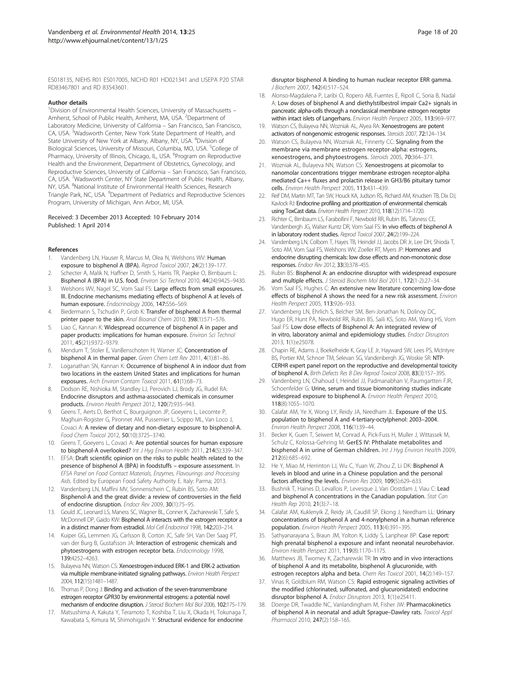<span id="page-17-0"></span>ES018135, NIEHS R01 ES017005, NICHD R01 HD021341 and USEPA P20 STAR RD83467801 and RD 83543601.

#### Author details

<sup>1</sup> Division of Environmental Health Sciences, University of Massachusetts -Amherst, School of Public Health, Amherst, MA, USA. <sup>2</sup>Department of Laboratory Medicine, University of California – San Francisco, San Francisco, CA, USA. <sup>3</sup>Wadsworth Center, New York State Department of Health, and State University of New York at Albany, Albany, NY, USA. <sup>4</sup>Division of Biological Sciences, University of Missouri, Columbia, MO, USA. <sup>5</sup>College of Pharmacy, University of Illinois, Chicago, IL, USA. <sup>6</sup>Program on Reproductive Health and the Environment, Department of Obstetrics, Gynecology, and Reproductive Sciences, University of California – San Francisco, San Francisco, CA, USA. <sup>7</sup>Wadsworth Center, NY State Department of Public Health, Albany, NY, USA. <sup>8</sup>National Institute of Environmental Health Sciences, Research Triangle Park, NC, USA. <sup>9</sup>Department of Pediatrics and Reproductive Sciences Program, University of Michigan, Ann Arbor, MI, USA.

#### Received: 3 December 2013 Accepted: 10 February 2014 Published: 1 April 2014

#### References

- 1. Vandenberg LN, Hauser R, Marcus M, Olea N, Welshons WV: Human exposure to bisphenol A (BPA). Reprod Toxicol 2007, 24(2):139–177.
- Schecter A, Malik N, Haffner D, Smith S, Harris TR, Paepke O, Birnbaum L: Bisphenol A (BPA) in U.S. food. Environ Sci Technol 2010, 44(24):9425–9430.
- 3. Welshons WV, Nagel SC, Vom Saal FS: Large effects from small exposures. III. Endocrine mechanisms mediating effects of bisphenol A at levels of human exposure. Endocrinology 2006, 147:S56–S69.
- Biedermann S, Tschudin P, Grob K: Transfer of bisphenol A from thermal printer paper to the skin. Anal Bioanal Chem 2010, 398(1):571-576.
- Liao C, Kannan K: Widespread occurrence of bisphenol A in paper and paper products: implications for human exposure. Environ Sci Technol 2011, 45(21):9372–9379.
- 6. Mendum T, Stoler E, VanBenschoten H, Warner JC: Concentration of bisphenol A in thermal paper. Green Chem Lett Rev 2011, 4(1):81–86.
- 7. Loganathan SN, Kannan K: Occurrence of bisphenol A in indoor dust from two locations in the eastern United States and implications for human exposures. Arch Environ Contam Toxicol 2011, 61(1):68–73.
- 8. Dodson RE, Nishioka M, Standley LJ, Perovich LJ, Brody JG, Rudel RA: Endocrine disruptors and asthma-associated chemicals in consumer products. Environ Health Perspect 2012, 120(7):935–943.
- 9. Geens T, Aerts D, Berthot C, Bourguignon JP, Goeyens L, Lecomte P, Maghuin-Rogister G, Pironnet AM, Pussemier L, Scippo ML, Van Loco J, Covaci A: A review of dietary and non-dietary exposure to bisphenol-A. Food Chem Toxicol 2012, 50(10):3725–3740.
- 10. Geens T, Goeyens L, Covaci A: Are potential sources for human exposure to bisphenol-A overlooked? Int J Hyg Environ Health 2011, 214(5):339–347.
- 11. EFSA: Draft scientific opinion on the risks to public health related to the presence of bisphenol A (BPA) in foodstuffs – exposure assessment. In EFSA Panel on Food Contact Materials, Enzymes, Flavourings and Processing Aids. Edited by European Food Safety Authority E. Italy: Parma; 2013.
- 12. Vandenberg LN, Maffini MV, Sonnenschein C, Rubin BS, Soto AM: Bisphenol-A and the great divide: a review of controversies in the field of endocrine disruption. Endocr Rev 2009, 30(1):75–95.
- 13. Gould JC, Leonard LS, Maness SC, Wagner BL, Conner K, Zacharewski T, Safe S, McDonnell DP, Gaido KW: Bisphenol A interacts with the estrogen receptor a in a distinct manner from estradiol. Mol Cell Endocrinol 1998, 142:203–214.
- 14. Kuiper GG, Lemmen JG, Carlsson B, Corton JC, Safe SH, Van Der Saag PT, van der Burg B, Gustafsson JA: Interaction of estrogenic chemicals and phytoestrogens with estrogen receptor beta. Endocrinology 1998, 139:4252–4263.
- 15. Bulayeva NN, Watson CS: Xenoestrogen-induced ERK-1 and ERK-2 activation via multiple membrane-initiated signaling pathways. Environ Health Perspect 2004, 112(15):1481–1487.
- 16. Thomas P, Dong J: Binding and activation of the seven-transmembrane estrogen receptor GPR30 by environmental estrogens: a potential novel mechanism of endocrine disruption. J Steroid Biochem Mol Biol 2006, 102:175–179.
- 17. Matsushima A, Kakuta Y, Teramoto T, Koshiba T, Liu X, Okada H, Tokunaga T, Kawabata S, Kimura M, Shimohigashi Y: Structural evidence for endocrine

disruptor bisphenol A binding to human nuclear receptor ERR gamma. J Biochem 2007, 142(4):517–524.

- 18. Alonso-Magdalena P, Laribi O, Ropero AB, Fuentes E, Ripoll C, Soria B, Nadal A: Low doses of bisphenol A and diethylstilbestrol impair Ca2+ signals in pancreatic alpha-cells through a nonclassical membrane estrogen receptor within intact islets of Langerhans. Environ Health Perspect 2005, 113:969-977.
- 19. Watson CS, Bulayeva NN, Wozniak AL, Alyea RA: Xenoestrogens are potent activators of nongenomic estrogenic responses. Steroids 2007, 72:124-134.
- 20. Watson CS, Bulayeva NN, Wozniak AL, Finnerty CC: Signaling from the membrane via membrane estrogen receptor-alpha: estrogens, xenoestrogens, and phytoestrogens. Steroids 2005, 70:364–371.
- 21. Wozniak AL, Bulayeva NN, Watson CS: Xenoestrogens at picomolar to nanomolar concentrations trigger membrane estrogen receptor-alpha mediated Ca++ fluxes and prolactin release in GH3/B6 pituitary tumor cells. Environ Health Perspect 2005, 113:431–439.
- 22. Reif DM, Martin MT, Tan SW, Houck KA, Judson RS, Richard AM, Knudsen TB, Dix DJ, Kavlock RJ: Endocrine profiling and prioritization of environmental chemicals using ToxCast data. Environ Health Perspect 2010, 118(12):1714–1720.
- 23. Richter C, Birnbaum LS, Farabollini F, Newbold RR, Rubin BS, Talsness CE, Vandenbergh JG, Walser Kuntz DR, Vom Saal FS: In vivo effects of bisphenol A in laboratory rodent studies. Reprod Toxicol 2007, 24(2):199–224.
- Vandenberg LN, Colborn T, Hayes TB, Heindel JJ, Jacobs DR Jr, Lee DH, Shioda T, Soto AM, Vom Saal FS, Welshons WV, Zoeller RT, Myers JP: Hormones and endocrine disrupting chemicals: low dose effects and non-monotonic dose responses. Endocr Rev 2012, 33(3):378-455.
- 25. Rubin BS: Bisphenol A: an endocrine disruptor with widespread exposure and multiple effects. J Steroid Biochem Mol Biol 2011, 172(1-2):27–34.
- 26. Vom Saal FS, Hughes C: An extensive new literature concerning low-dose effects of bisphenol A shows the need for a new risk assessment. Environ Health Perspect 2005, 113:926–933.
- 27. Vandenberg LN, Ehrlich S, Belcher SM, Ben-Jonathan N, Dolinoy DC, Hugo ER, Hunt PA, Newbold RR, Rubin BS, Saili KS, Soto AM, Wang HS, Vom Saal FS: Low dose effects of Bisphenol A: An integrated review of in vitro, laboratory animal and epidemiology studies. Endocr Disruptors 2013, 1(1):e25078.
- 28. Chapin RE, Adams J, Boekelheide K, Gray LE Jr, Hayward SW, Lees PS, McIntyre BS, Portier KM, Schnorr TM, Selevan SG, Vandenbergh JG, Woskie SR: NTP-CERHR expert panel report on the reproductive and developmental toxicity of bisphenol A. Birth Defects Res B Dev Reprod Toxicol 2008, 83(3):157–395.
- 29. Vandenberg LN, Chahoud I, Heindel JJ, Padmanabhan V, Paumgartten FJR, Schoenfelder G: Urine, serum and tissue biomonitoring studies indicate widespread exposure to bisphenol A. Environ Health Perspect 2010, 118(8):1055–1070.
- 30. Calafat AM, Ye X, Wong LY, Reidy JA, Needham JL: Exposure of the U.S. population to bisphenol A and 4-tertiary-octylphenol: 2003–2004. Environ Health Perspect 2008, 116(1):39–44.
- 31. Becker K, Guen T, Seiwert M, Conrad A, Pick-Fuss H, Muller J, Wittassek M, Schulz C, Kolossa-Gehring M: GerES IV: Phthalate metabolites and bisphenol A in urine of German children. Int J Hyg Environ Health 2009, 212(6):685–692.
- 32. He Y, Miao M, Herrinton LJ, Wu C, Yuan W, Zhou Z, Li DK: Bisphenol A levels in blood and urine in a Chinese population and the personal factors affecting the levels. Environ Res 2009, 109(5):629–633.
- 33. Bushnik T, Haines D, Levallois P, Levesque J, Van Oostdam J, Viau C: Lead and bisphenol A concentrations in the Canadian population. Stat Can Health Rep 2010, 21(3):7–18.
- 34. Calafat AM, Kuklenyik Z, Reidy JA, Caudill SP, Ekong J, Needham LL: Urinary concentrations of bisphenol A and 4-nonylphenol in a human reference population. Environ Health Perspect 2005, 113(4):391–395.
- Sathyanarayana S, Braun JM, Yolton K, Liddy S, Lanphear BP: Case report: high prenatal bisphenol a exposure and infant neonatal neurobehavior. Environ Health Perspect 2011, 119(8):1170–1175.
- 36. Matthews JB, Twomey K, Zacharewski TR: In vitro and in vivo interactions of bisphenol A and its metabolite, bisphenol A glucuronide, with estrogen receptors alpha and beta. Chem Res Toxicol 2001, 14(2):149-157.
- 37. Vinas R, Goldblum RM, Watson CS: Rapid estrogenic signaling activities of the modified (chlorinated, sulfonated, and glucuronidated) endocrine disruptor bisphenol A. Endocr Disruptors 2013, 1(1):e25411.
- 38. Doerge DR, Twaddle NC, Vanlandingham M, Fisher JW: Pharmacokinetics of bisphenol A in neonatal and adult Sprague–Dawley rats. Toxicol Appl Pharmacol 2010, 247(2):158–165.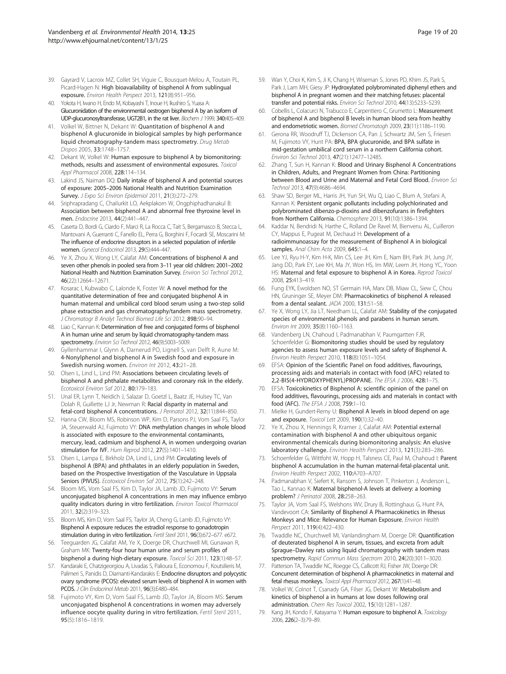- <span id="page-18-0"></span>39. Gayrard V, Lacroix MZ, Collet SH, Viguie C, Bousquet-Melou A, Toutain PL, Picard-Hagen N: High bioavailability of bisphenol A from sublingual exposure. Environ Health Perspect 2013, 121(8):951–956.
- 40. Yokota H, Iwano H, Endo M, Kobayashi T, Inoue H, Ikushiro S, Yuasa A: Glucuronidation of the environmental oestrogen bisphenol A by an isoform of UDP-glucuronosyltransferase, UGT2B1, in the rat liver. Biochem J 1999, 340:405–409.
- 41. Volkel W, Bittner N, Dekant W: Quantitation of bisphenol A and bisphenol A glucuronide in biological samples by high performance liquid chromatography-tandem mass spectrometry. Drug Metab Dispos 2005, 33:1748–1757.
- 42. Dekant W, Volkel W: Human exposure to bisphenol A by biomonitoring: methods, results and assessment of environmental exposures. Toxicol Appl Pharmacol 2008, 228:114–134.
- 43. Lakind JS, Naiman DQ: Daily intake of bisphenol A and potential sources of exposure: 2005–2006 National Health and Nutrition Examination Survey. J Expo Sci Environ Epidemiol 2011, 21(3):272–279.
- 44. Sriphrapradang C, Chailurkit LO, Aekplakorn W, Ongphiphadhanakul B: Association between bisphenol A and abnormal free thyroxine level in men. Endocrine 2013, 44(2):441–447.
- 45. Caserta D, Bordi G, Ciardo F, Marci R, La Rocca C, Tait S, Bergamasco B, Stecca L, Mantovani A, Guerranti C, Fanello EL, Perra G, Borghini F, Focardi SE, Moscarini M: The influence of endocrine disruptors in a selected population of infertile women. Gynecol Endocrinol 2013, 29(5):444–447.
- 46. Ye X, Zhou X, Wong LY, Calafat AM: Concentrations of bisphenol A and seven other phenols in pooled sera from 3–11 year old children: 2001–2002 National Health and Nutrition Examination Survey. Environ Sci Technol 2012, 46(22):12664–12671.
- 47. Kosarac I, Kubwabo C, Lalonde K, Foster W: A novel method for the quantitative determination of free and conjugated bisphenol A in human maternal and umbilical cord blood serum using a two-step solid phase extraction and gas chromatography/tandem mass spectrometry. J Chromatogr B Analyt Technol Biomed Life Sci 2012, 898:90-94.
- 48. Liao C, Kannan K: Determination of free and conjugated forms of bisphenol A in human urine and serum by liquid chromatography-tandem mass spectrometry. Environ Sci Technol 2012, 46(9):5003–5009.
- 49. Gyllenhammar I, Glynn A, Darnerud PO, Lignell S, van Delft R, Aune M: 4-Nonylphenol and bisphenol A in Swedish food and exposure in Swedish nursing women. Environ Int 2012, 43:21–28.
- 50. Olsen L, Lind L, Lind PM: Associations between circulating levels of bisphenol A and phthalate metabolites and coronary risk in the elderly. Ecotoxicol Environ Saf 2012, 80:179–183.
- 51. Unal ER, Lynn T, Neidich J, Salazar D, Goetzl L, Baatz JE, Hulsey TC, Van Dolah R, Guillette LJ Jr, Newman R: Racial disparity in maternal and fetal-cord bisphenol A concentrations. J Perinatol 2012, 32(11):844–850.
- 52. Hanna CW, Bloom MS, Robinson WP, Kim D, Parsons PJ, Vom Saal FS, Taylor JA, Steuerwald AJ, Fujimoto VY: DNA methylation changes in whole blood is associated with exposure to the environmental contaminants, mercury, lead, cadmium and bisphenol A, in women undergoing ovarian stimulation for IVF. Hum Reprod 2012, 27(5):1401–1410.
- 53. Olsen L, Lampa E, Birkholz DA, Lind L, Lind PM: Circulating levels of bisphenol A (BPA) and phthalates in an elderly population in Sweden, based on the Prospective Investigation of the Vasculature in Uppsala Seniors (PIVUS). Ecotoxicol Environ Saf 2012, 75(1):242–248.
- 54. Bloom MS, Vom Saal FS, Kim D, Taylor JA, Lamb JD, Fujimoto VY: Serum unconjugated bisphenol A concentrations in men may influence embryo quality indicators during in vitro fertilization. Environ Toxicol Pharmacol 2011, 32(2):319–323.
- 55. Bloom MS, Kim D, Vom Saal FS, Taylor JA, Cheng G, Lamb JD, Fujimoto VY: Bisphenol A exposure reduces the estradiol response to gonadotropin stimulation during in vitro fertilization. Fertil Steril 2011, 96(3):672–677. e672.
- 56. Teeguarden JG, Calafat AM, Ye X, Doerge DR, Churchwell MI, Gunawan R, Graham MK: Twenty-four hour human urine and serum profiles of bisphenol a during high-dietary exposure. Toxicol Sci 2011, 123(1):48–57.
- 57. Kandaraki E, Chatzigeorgiou A, Livadas S, Palioura E, Economou F, Koutsilieris M, Palimeri S, Panidis D, Diamanti-Kandarakis E: Endocrine disruptors and polycystic ovary syndrome (PCOS): elevated serum levels of bisphenol A in women with PCOS. J Clin Endocrinol Metab 2011, 96(3):E480-484.
- 58. Fujimoto VY, Kim D, Vom Saal FS, Lamb JD, Taylor JA, Bloom MS: Serum unconjugated bisphenol A concentrations in women may adversely influence oocyte quality during in vitro fertilization. Fertil Steril 2011, 95(5):1816–1819.
- 59. Wan Y, Choi K, Kim S, Ji K, Chang H, Wiseman S, Jones PD, Khim JS, Park S, Park J, Lam MH, Giesy JP: Hydroxylated polybrominated diphenyl ethers and bisphenol A in pregnant women and their matching fetuses: placental transfer and potential risks. Environ Sci Technol 2010, 44(13):5233–5239.
- 60. Cobellis L, Colacurci N, Trabucco E, Carpentiero C, Grumetto L: Measurement of bisphenol A and bisphenol B levels in human blood sera from healthy and endometriotic women. Biomed Chromatogh 2009, 23(11):1186–1190.
- 61. Gerona RR, Woodruff TJ, Dickenson CA, Pan J, Schwartz JM, Sen S, Friesen M, Fujimoto VY, Hunt PA: BPA, BPA glucuronide, and BPA sulfate in mid-gestation umbilical cord serum in a northern California cohort. Environ Sci Technol 2013, 47(21):12477–12485.
- 62. Zhang T, Sun H, Kannan K: Blood and Urinary Bisphenol A Concentrations in Children, Adults, and Pregnant Women from China: Partitioning between Blood and Urine and Maternal and Fetal Cord Blood. Environ Sci Technol 2013, 47(9):4686–4694.
- 63. Shaw SD, Berger ML, Harris JH, Yun SH, Wu Q, Liao C, Blum A, Stefani A, Kannan K: Persistent organic pollutants including polychlorinated and polybrominated dibenzo-p-dioxins and dibenzofurans in firefighters from Northern California. Chemosphere 2013, 91(10):1386-1394.
- 64. Kaddar N, Bendridi N, Harthe C, Rolland De Ravel M, Bienvenu AL, Cuilleron CY, Mappus E, Pugeat M, Dechaud H: Development of a radioimmunoassay for the measurement of Bisphenol A in biological samples. Anal Chim Acta 2009, 645:1-4.
- 65. Lee YJ, Ryu H-Y, Kim H-K, Min CS, Lee JH, Kim E, Nam BH, Park JH, Jung JY, Jang DD, Park EY, Lee KH, Ma JY, Won HS, Im MW, Leem JH, Hong YC, Yoon HS: Maternal and fetal exposure to bisphenol A in Korea. Reprod Toxicol 2008, 25:413–419.
- 66. Fung EYK, Ewoldsen NO, ST Germain HA, Marx DB, Miaw CL, Siew C, Chou HN, Gruninger SE, Meyer DM: Pharmacokinetics of bisphenol A released from a dental sealant. JADA 2000, 131:51–58.
- 67. Ye X, Wong LY, Jia LT, Needham LL, Calafat AM: Stability of the conjugated species of environmental phenols and parabens in human serum. Environ Int 2009, 35(8):1160–1163.
- 68. Vandenberg LN, Chahoud I, Padmanabhan V, Paumgartten FJR, Schoenfelder G: Biomonitoring studies should be used by regulatory agencies to assess human exposure levels and safety of Bisphenol A. Environ Health Perspect 2010, 118(8):1051–1054.
- 69. EFSA: Opinion of the Scientific Panel on food additives, flavourings, processing aids and materials in contact with food (AFC) related to 2,2-BIS(4-HYDROXYPHENYL)PROPANE. The EFSA J 2006, 428:1–75.
- 70. EFSA: Toxicokinetics of Bisphenol A: scientific opinion of the panel on food additives, flavourings, processing aids and materials in contact with food (AFC). The EFSA J 2008, 759:1–10.
- 71. Mielke H, Gundert-Remy U: Bisphenol A levels in blood depend on age and exposure. Toxicol Lett 2009, 190(1):32–40.
- 72. Ye X, Zhou X, Hennings R, Kramer J, Calafat AM: Potential external contamination with bisphenol A and other ubiquitous organic environmental chemicals during biomonitoring analysis: An elusive laboratory challenge. Environ Health Perspect 2013, 121(3):283–286.
- Schoenfelder G, Wittfoht W, Hopp H, Talsness CE, Paul M, Chahoud I: Parent bisphenol A accumulation in the human maternal-fetal-placental unit. Environ Health Perspect 2002, 110:A703–A707.
- 74. Padmanabhan V, Siefert K, Ransom S, Johnson T, Pinkerton J, Anderson L, Tao L, Kannao K: Maternal bisphenol-A levels at delivery: a looming problem? J Perinatol 2008, 28:258–263.
- 75. Taylor JA, Vom Saal FS, Welshons WV, Drury B, Rottinghaus G, Hunt PA, Vandevoort CA: Similarity of Bisphenol A Pharmacokinetics in Rhesus Monkeys and Mice: Relevance for Human Exposure. Environ Health Perspect 2011, 119(4):422–430.
- 76. Twaddle NC, Churchwell MI, Vanlandingham M, Doerge DR: Quantification of deuterated bisphenol A in serum, tissues, and excreta from adult Sprague–Dawley rats using liquid chromatography with tandem mass spectrometry. Rapid Commun Mass Spectrom 2010, 24(20):3011–3020.
- 77. Patterson TA, Twaddle NC, Roegge CS, Callicott RJ, Fisher JW, Doerge DR: Concurrent determination of bisphenol A pharmacokinetics in maternal and fetal rhesus monkeys. Toxicol Appl Pharmacol 2012, 267(1):41–48.
- 78. Volkel W, Colnot T, Csanady GA, Filser JG, Dekant W: Metabolism and kinetics of bisphenol a in humans at low doses following oral administration. Chem Res Toxicol 2002, 15(10):1281–1287.
- 79. Kang JH, Kondo F, Katayama Y: Human exposure to bisphenol A. Toxicology 2006, 226(2–3):79–89.